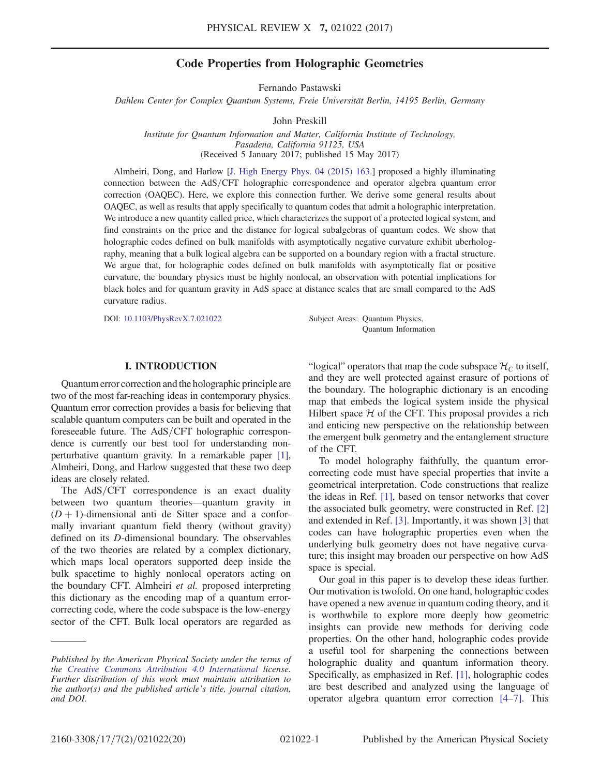# Code Properties from Holographic Geometries

Fernando Pastawski

Dahlem Center for Complex Quantum Systems, Freie Universität Berlin, 14195 Berlin, Germany

John Preskill

Institute for Quantum Information and Matter, California Institute of Technology, Pasadena, California 91125, USA (Received 5 January 2017; published 15 May 2017)

Almheiri, Dong, and Harlow [[J. High Energy Phys. 04 \(2015\) 163.\]](https://doi.org/10.1007/JHEP04(2015)163) proposed a highly illuminating connection between the AdS/CFT holographic correspondence and operator algebra quantum error correction (OAQEC). Here, we explore this connection further. We derive some general results about OAQEC, as well as results that apply specifically to quantum codes that admit a holographic interpretation. We introduce a new quantity called price, which characterizes the support of a protected logical system, and find constraints on the price and the distance for logical subalgebras of quantum codes. We show that holographic codes defined on bulk manifolds with asymptotically negative curvature exhibit uberholography, meaning that a bulk logical algebra can be supported on a boundary region with a fractal structure. We argue that, for holographic codes defined on bulk manifolds with asymptotically flat or positive curvature, the boundary physics must be highly nonlocal, an observation with potential implications for black holes and for quantum gravity in AdS space at distance scales that are small compared to the AdS curvature radius.

DOI: [10.1103/PhysRevX.7.021022](https://doi.org/10.1103/PhysRevX.7.021022) Subject Areas: Quantum Physics, Quantum Information

# I. INTRODUCTION

Quantum error correction and the holographic principle are two of the most far-reaching ideas in contemporary physics. Quantum error correction provides a basis for believing that scalable quantum computers can be built and operated in the foreseeable future. The AdS/CFT holographic correspondence is currently our best tool for understanding nonperturbative quantum gravity. In a remarkable paper [\[1\]](#page-18-0), Almheiri, Dong, and Harlow suggested that these two deep ideas are closely related.

The AdS/CFT correspondence is an exact duality between two quantum theories—quantum gravity in  $(D + 1)$ -dimensional anti–de Sitter space and a conformally invariant quantum field theory (without gravity) defined on its D-dimensional boundary. The observables of the two theories are related by a complex dictionary, which maps local operators supported deep inside the bulk spacetime to highly nonlocal operators acting on the boundary CFT. Almheiri et al. proposed interpreting this dictionary as the encoding map of a quantum errorcorrecting code, where the code subspace is the low-energy sector of the CFT. Bulk local operators are regarded as

"logical" operators that map the code subspace  $\mathcal{H}_C$  to itself, and they are well protected against erasure of portions of the boundary. The holographic dictionary is an encoding map that embeds the logical system inside the physical Hilbert space  $H$  of the CFT. This proposal provides a rich and enticing new perspective on the relationship between the emergent bulk geometry and the entanglement structure of the CFT.

To model holography faithfully, the quantum errorcorrecting code must have special properties that invite a geometrical interpretation. Code constructions that realize the ideas in Ref. [\[1\],](#page-18-0) based on tensor networks that cover the associated bulk geometry, were constructed in Ref. [\[2\]](#page-18-1) and extended in Ref. [\[3\]](#page-18-2). Importantly, it was shown [\[3\]](#page-18-2) that codes can have holographic properties even when the underlying bulk geometry does not have negative curvature; this insight may broaden our perspective on how AdS space is special.

Our goal in this paper is to develop these ideas further. Our motivation is twofold. On one hand, holographic codes have opened a new avenue in quantum coding theory, and it is worthwhile to explore more deeply how geometric insights can provide new methods for deriving code properties. On the other hand, holographic codes provide a useful tool for sharpening the connections between holographic duality and quantum information theory. Specifically, as emphasized in Ref. [\[1\],](#page-18-0) holographic codes are best described and analyzed using the language of operator algebra quantum error correction [4–[7\].](#page-18-3) This

Published by the American Physical Society under the terms of the [Creative Commons Attribution 4.0 International](https://creativecommons.org/licenses/by/4.0/) license. Further distribution of this work must maintain attribution to the author(s) and the published article's title, journal citation, and DOI.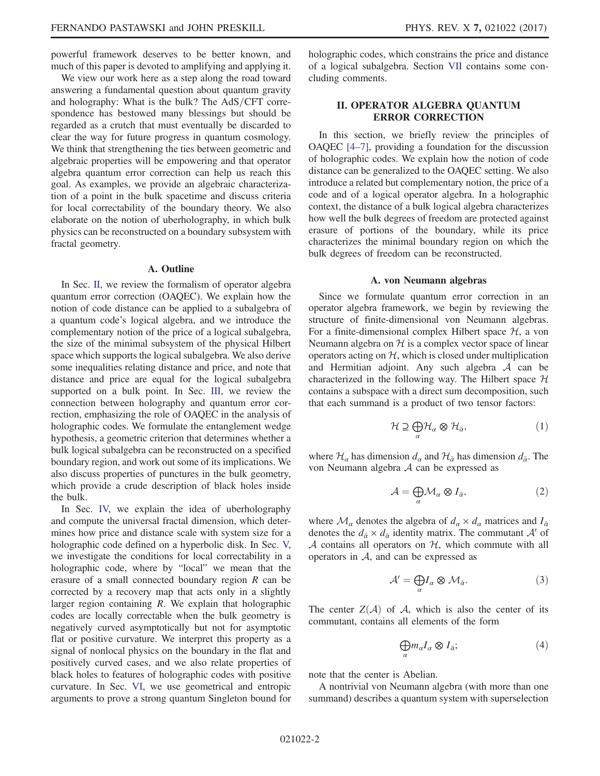powerful framework deserves to be better known, and much of this paper is devoted to amplifying and applying it.

We view our work here as a step along the road toward answering a fundamental question about quantum gravity and holography: What is the bulk? The  $AdS/CFT$  correspondence has bestowed many blessings but should be regarded as a crutch that must eventually be discarded to clear the way for future progress in quantum cosmology. We think that strengthening the ties between geometric and algebraic properties will be empowering and that operator algebra quantum error correction can help us reach this goal. As examples, we provide an algebraic characterization of a point in the bulk spacetime and discuss criteria for local correctability of the boundary theory. We also elaborate on the notion of uberholography, in which bulk physics can be reconstructed on a boundary subsystem with fractal geometry.

### A. Outline

In Sec. [II](#page-1-0), we review the formalism of operator algebra quantum error correction (OAQEC). We explain how the notion of code distance can be applied to a subalgebra of a quantum code's logical algebra, and we introduce the complementary notion of the price of a logical subalgebra, the size of the minimal subsystem of the physical Hilbert space which supports the logical subalgebra. We also derive some inequalities relating distance and price, and note that distance and price are equal for the logical subalgebra supported on a bulk point. In Sec. [III](#page-6-0), we review the connection between holography and quantum error correction, emphasizing the role of OAQEC in the analysis of holographic codes. We formulate the entanglement wedge hypothesis, a geometric criterion that determines whether a bulk logical subalgebra can be reconstructed on a specified boundary region, and work out some of its implications. We also discuss properties of punctures in the bulk geometry, which provide a crude description of black holes inside the bulk.

In Sec. [IV,](#page-11-0) we explain the idea of uberholography and compute the universal fractal dimension, which determines how price and distance scale with system size for a holographic code defined on a hyperbolic disk. In Sec. [V,](#page-13-0) we investigate the conditions for local correctability in a holographic code, where by "local" we mean that the erasure of a small connected boundary region R can be corrected by a recovery map that acts only in a slightly larger region containing  $R$ . We explain that holographic codes are locally correctable when the bulk geometry is negatively curved asymptotically but not for asymptotic flat or positive curvature. We interpret this property as a signal of nonlocal physics on the boundary in the flat and positively curved cases, and we also relate properties of black holes to features of holographic codes with positive curvature. In Sec. [VI,](#page-15-0) we use geometrical and entropic arguments to prove a strong quantum Singleton bound for

holographic codes, which constrains the price and distance of a logical subalgebra. Section [VII](#page-16-0) contains some concluding comments.

### <span id="page-1-0"></span>II. OPERATOR ALGEBRA QUANTUM ERROR CORRECTION

In this section, we briefly review the principles of OAQEC [\[4](#page-18-3)–7], providing a foundation for the discussion of holographic codes. We explain how the notion of code distance can be generalized to the OAQEC setting. We also introduce a related but complementary notion, the price of a code and of a logical operator algebra. In a holographic context, the distance of a bulk logical algebra characterizes how well the bulk degrees of freedom are protected against erasure of portions of the boundary, while its price characterizes the minimal boundary region on which the bulk degrees of freedom can be reconstructed.

### A. von Neumann algebras

<span id="page-1-2"></span>Since we formulate quantum error correction in an operator algebra framework, we begin by reviewing the structure of finite-dimensional von Neumann algebras. For a finite-dimensional complex Hilbert space  $H$ , a von Neumann algebra on  $H$  is a complex vector space of linear operators acting on  $H$ , which is closed under multiplication and Hermitian adjoint. Any such algebra A can be characterized in the following way. The Hilbert space  $H$ contains a subspace with a direct sum decomposition, such that each summand is a product of two tensor factors:

$$
\mathcal{H} \supseteq \bigoplus_{\alpha} \mathcal{H}_{\alpha} \otimes \mathcal{H}_{\bar{\alpha}},\tag{1}
$$

<span id="page-1-1"></span>where  $\mathcal{H}_{\alpha}$  has dimension  $d_{\alpha}$  and  $\mathcal{H}_{\bar{\alpha}}$  has dimension  $d_{\bar{\alpha}}$ . The von Neumann algebra A can be expressed as

$$
\mathcal{A} = \bigoplus_{\alpha} \mathcal{M}_{\alpha} \otimes I_{\bar{\alpha}},\tag{2}
$$

<span id="page-1-3"></span>where  $\mathcal{M}_{\alpha}$  denotes the algebra of  $d_{\alpha} \times d_{\alpha}$  matrices and  $I_{\overline{\alpha}}$ denotes the  $d_{\overline{\alpha}} \times d_{\overline{\alpha}}$  identity matrix. The commutant  $\mathcal{A}'$  of  $A$  contains all operators on  $H$ , which commute with all operators in  $A$ , and can be expressed as

$$
\mathcal{A}' = \bigoplus_{\alpha} I_{\alpha} \otimes \mathcal{M}_{\bar{\alpha}}.\tag{3}
$$

The center  $Z(\mathcal{A})$  of  $\mathcal{A}$ , which is also the center of its commutant, contains all elements of the form

$$
\bigoplus_{\alpha} m_{\alpha} I_{\alpha} \otimes I_{\bar{\alpha}};\tag{4}
$$

note that the center is Abelian.

A nontrivial von Neumann algebra (with more than one summand) describes a quantum system with superselection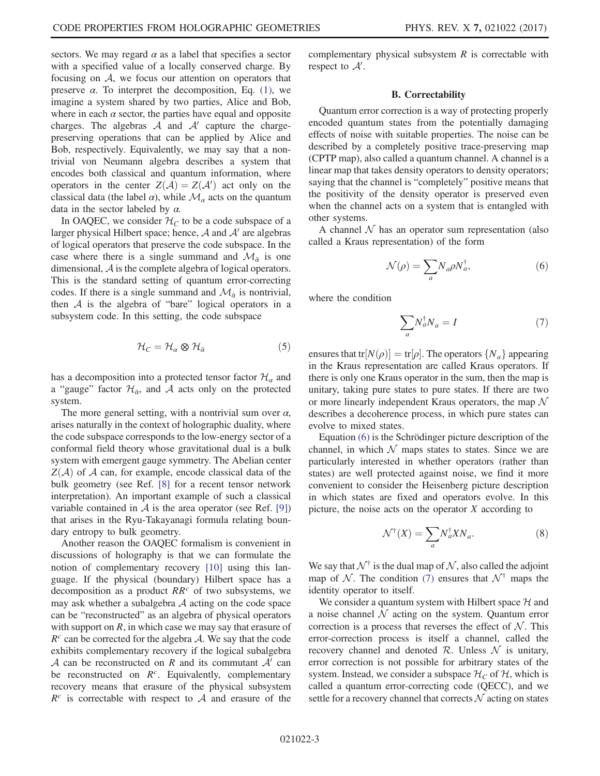sectors. We may regard  $\alpha$  as a label that specifies a sector with a specified value of a locally conserved charge. By focusing on  $A$ , we focus our attention on operators that preserve  $\alpha$ . To interpret the decomposition, Eq. [\(1\)](#page-1-1), we imagine a system shared by two parties, Alice and Bob, where in each  $\alpha$  sector, the parties have equal and opposite charges. The algebras  $\mathcal A$  and  $\mathcal A'$  capture the chargepreserving operations that can be applied by Alice and Bob, respectively. Equivalently, we may say that a nontrivial von Neumann algebra describes a system that encodes both classical and quantum information, where operators in the center  $Z(\hat{A}) = Z(A')$  act only on the classical data (the label  $\alpha$ ) while  $M$  acts on the quantum classical data (the label  $\alpha$ ), while  $\mathcal{M}_{\alpha}$  acts on the quantum data in the sector labeled by  $\alpha$ .

In OAQEC, we consider  $H_C$  to be a code subspace of a larger physical Hilbert space; hence,  $\mathcal A$  and  $\mathcal A'$  are algebras of logical operators that preserve the code subspace. In the case where there is a single summand and  $\mathcal{M}_{\bar{\alpha}}$  is one dimensional, A is the complete algebra of logical operators. This is the standard setting of quantum error-correcting codes. If there is a single summand and  $\mathcal{M}_{\bar{\alpha}}$  is nontrivial, then  $A$  is the algebra of "bare" logical operators in a subsystem code. In this setting, the code subspace

$$
\mathcal{H}_C = \mathcal{H}_\alpha \otimes \mathcal{H}_{\bar{\alpha}} \tag{5}
$$

has a decomposition into a protected tensor factor  $\mathcal{H}_{\alpha}$  and a "gauge" factor  $\mathcal{H}_{\bar{\alpha}}$ , and A acts only on the protected system.

The more general setting, with a nontrivial sum over  $\alpha$ , arises naturally in the context of holographic duality, where the code subspace corresponds to the low-energy sector of a conformal field theory whose gravitational dual is a bulk system with emergent gauge symmetry. The Abelian center  $Z(\mathcal{A})$  of  $\mathcal A$  can, for example, encode classical data of the bulk geometry (see Ref. [\[8\]](#page-18-4) for a recent tensor network interpretation). An important example of such a classical variable contained in  $\mathcal A$  is the area operator (see Ref. [\[9\]\)](#page-18-5) that arises in the Ryu-Takayanagi formula relating boundary entropy to bulk geometry.

Another reason the OAQEC formalism is convenient in discussions of holography is that we can formulate the notion of complementary recovery [\[10\]](#page-18-6) using this language. If the physical (boundary) Hilbert space has a decomposition as a product  $RR<sup>c</sup>$  of two subsystems, we may ask whether a subalgebra  $A$  acting on the code space can be "reconstructed" as an algebra of physical operators with support on  $R$ , in which case we may say that erasure of  $R<sup>c</sup>$  can be corrected for the algebra A. We say that the code exhibits complementary recovery if the logical subalgebra A can be reconstructed on R and its commutant  $A'$  can be reconstructed on  $R<sup>c</sup>$ . Equivalently, complementary recovery means that erasure of the physical subsystem  $R<sup>c</sup>$  is correctable with respect to A and erasure of the

complementary physical subsystem  $R$  is correctable with respect to  $A'$ .

### B. Correctability

Quantum error correction is a way of protecting properly encoded quantum states from the potentially damaging effects of noise with suitable properties. The noise can be described by a completely positive trace-preserving map (CPTP map), also called a quantum channel. A channel is a linear map that takes density operators to density operators; saying that the channel is "completely" positive means that the positivity of the density operator is preserved even when the channel acts on a system that is entangled with other systems.

<span id="page-2-0"></span>A channel  $\mathcal N$  has an operator sum representation (also called a Kraus representation) of the form

$$
\mathcal{N}(\rho) = \sum_{a} N_{a}\rho N_{a}^{\dagger},\tag{6}
$$

<span id="page-2-1"></span>where the condition

$$
\sum_{a} N_a^{\dagger} N_a = I \tag{7}
$$

ensures that tr $[N(\rho)] = \text{tr}[\rho]$ . The operators  $\{N_a\}$  appearing in the Kraus representation are called Kraus operators. If in the Kraus representation are called Kraus operators. If there is only one Kraus operator in the sum, then the map is unitary, taking pure states to pure states. If there are two or more linearly independent Kraus operators, the map  $\mathcal N$ describes a decoherence process, in which pure states can evolve to mixed states.

Equation [\(6\)](#page-2-0) is the Schrödinger picture description of the channel, in which  $\mathcal N$  maps states to states. Since we are particularly interested in whether operators (rather than states) are well protected against noise, we find it more convenient to consider the Heisenberg picture description in which states are fixed and operators evolve. In this picture, the noise acts on the operator X according to

$$
\mathcal{N}^{\dagger}(X) = \sum_{a} N_a^{\dagger} X N_a. \tag{8}
$$

We say that  $N^{\dagger}$  is the dual map of N, also called the adjoint map of N. The condition [\(7\)](#page-2-1) ensures that  $\mathcal{N}^{\dagger}$  maps the identity operator to itself.

We consider a quantum system with Hilbert space  $H$  and a noise channel  $N$  acting on the system. Quantum error correction is a process that reverses the effect of  $N$ . This error-correction process is itself a channel, called the recovery channel and denoted  $\mathcal{R}$ . Unless  $\mathcal N$  is unitary, error correction is not possible for arbitrary states of the system. Instead, we consider a subspace  $\mathcal{H}_C$  of  $\mathcal{H}$ , which is called a quantum error-correcting code (QECC), and we settle for a recovery channel that corrects  $N$  acting on states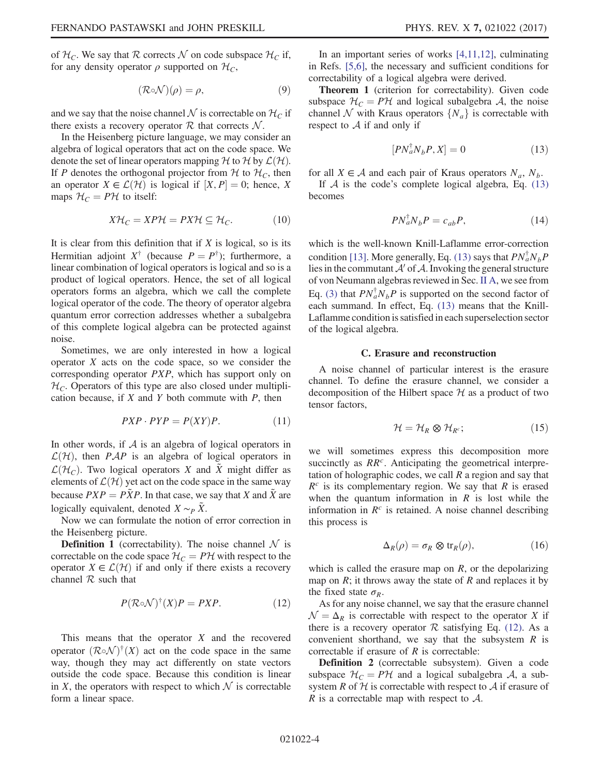of  $\mathcal{H}_C$ . We say that R corrects N on code subspace  $\mathcal{H}_C$  if, for any density operator  $\rho$  supported on  $\mathcal{H}_C$ ,

$$
(\mathcal{R}\circ\mathcal{N})(\rho) = \rho,\tag{9}
$$

and we say that the noise channel N is correctable on  $\mathcal{H}_C$  if there exists a recovery operator  $R$  that corrects  $N$ .

In the Heisenberg picture language, we may consider an algebra of logical operators that act on the code space. We denote the set of linear operators mapping H to H by  $\mathcal{L}(\mathcal{H})$ . If P denotes the orthogonal projector from H to  $\mathcal{H}_C$ , then an operator  $X \in \mathcal{L}(\mathcal{H})$  is logical if  $[X, P] = 0$ ; hence, X<br>maps  $\mathcal{H}_c = P\mathcal{H}$  to itself: maps  $H_C = P H$  to itself:

$$
X\mathcal{H}_C = XP\mathcal{H} = PX\mathcal{H} \subseteq \mathcal{H}_C.
$$
 (10)

It is clear from this definition that if  $X$  is logical, so is its Hermitian adjoint  $X^{\dagger}$  (because  $P = P^{\dagger}$ ); furthermore, a linear combination of logical operators is logical and so is a product of logical operators. Hence, the set of all logical operators forms an algebra, which we call the complete logical operator of the code. The theory of operator algebra quantum error correction addresses whether a subalgebra of this complete logical algebra can be protected against noise.

Sometimes, we are only interested in how a logical operator  $X$  acts on the code space, so we consider the corresponding operator PXP, which has support only on  $\mathcal{H}_C$ . Operators of this type are also closed under multiplication because, if  $X$  and  $Y$  both commute with  $P$ , then

$$
PXP \cdot PYP = P(XY)P. \tag{11}
$$

In other words, if  $A$  is an algebra of logical operators in  $\mathcal{L}(\mathcal{H})$ , then *PAP* is an algebra of logical operators in  $\mathcal{L}(\mathcal{H}_{C})$ . Two logical operators X and X might differ as elements of  $\mathcal{L}(\mathcal{H})$  yet act on the code space in the same way because  $PXP = \overline{PXP}$ . In that case, we say that X and X are logically equivalent, denoted  $X \sim_{P} X$ .

Now we can formulate the notion of error correction in the Heisenberg picture.

<span id="page-3-1"></span>**Definition 1** (correctability). The noise channel  $\mathcal N$  is correctable on the code space  $\mathcal{H}_C = P\mathcal{H}$  with respect to the operator  $X \in \mathcal{L}(\mathcal{H})$  if and only if there exists a recovery channel  $\mathcal R$  such that

$$
P(\mathcal{R}\circ\mathcal{N})^{\dagger}(X)P = PXP.
$$
 (12)

This means that the operator X and the recovered operator  $(\mathcal{R} \circ \mathcal{N})^{\dagger}(X)$  act on the code space in the same way, though they may act differently on state vectors outside the code space. Because this condition is linear in X, the operators with respect to which  $\mathcal N$  is correctable form a linear space.

In an important series of works [\[4,11,12\],](#page-18-3) culminating in Refs. [\[5,6\]](#page-18-7), the necessary and sufficient conditions for correctability of a logical algebra were derived.

<span id="page-3-0"></span>Theorem 1 (criterion for correctability). Given code subspace  $H_C = P\mathcal{H}$  and logical subalgebra A, the noise channel N with Kraus operators  $\{N_a\}$  is correctable with respect to  $A$  if and only if

$$
[PN_a^{\dagger} N_b P, X] = 0 \tag{13}
$$

for all  $X \in \mathcal{A}$  and each pair of Kraus operators  $N_a$ ,  $N_b$ .

If  $A$  is the code's complete logical algebra, Eq. [\(13\)](#page-3-0) becomes

$$
PN_a^{\dagger} N_b P = c_{ab} P, \qquad (14)
$$

which is the well-known Knill-Laflamme error-correction condition [\[13\]](#page-19-0). More generally, Eq. [\(13\)](#page-3-0) says that  $PN_a^{\dagger}N_bP$ lies in the commutant  $A'$  of  $A$ . Invoking the general structure of von Neumann algebras reviewed in Sec. [II A,](#page-1-2) we see from Eq. [\(3\)](#page-1-3) that  $PN_a^{\dagger}N_bP$  is supported on the second factor of each summand. In effect, Eq. [\(13\)](#page-3-0) means that the Knill-Laflamme condition is satisfied in each superselection sector of the logical algebra.

#### C. Erasure and reconstruction

A noise channel of particular interest is the erasure channel. To define the erasure channel, we consider a decomposition of the Hilbert space  $H$  as a product of two tensor factors,

$$
\mathcal{H} = \mathcal{H}_R \otimes \mathcal{H}_{R^c};\tag{15}
$$

we will sometimes express this decomposition more succinctly as  $RR<sup>c</sup>$ . Anticipating the geometrical interpretation of holographic codes, we call R a region and say that  $R<sup>c</sup>$  is its complementary region. We say that R is erased when the quantum information in  $R$  is lost while the information in  $R<sup>c</sup>$  is retained. A noise channel describing this process is

$$
\Delta_R(\rho) = \sigma_R \otimes \text{tr}_R(\rho),\tag{16}
$$

<span id="page-3-2"></span>which is called the erasure map on  $R$ , or the depolarizing map on  $R$ ; it throws away the state of  $R$  and replaces it by the fixed state  $\sigma_R$ .

As for any noise channel, we say that the erasure channel  $\mathcal{N} = \Delta_R$  is correctable with respect to the operator X if there is a recovery operator  $R$  satisfying Eq. [\(12\).](#page-3-1) As a convenient shorthand, we say that the subsystem  $R$  is correctable if erasure of  $R$  is correctable:

Definition 2 (correctable subsystem). Given a code subspace  $H_C = P\mathcal{H}$  and a logical subalgebra A, a subsystem  $R$  of  $H$  is correctable with respect to  $A$  if erasure of R is a correctable map with respect to  $\mathcal{A}$ .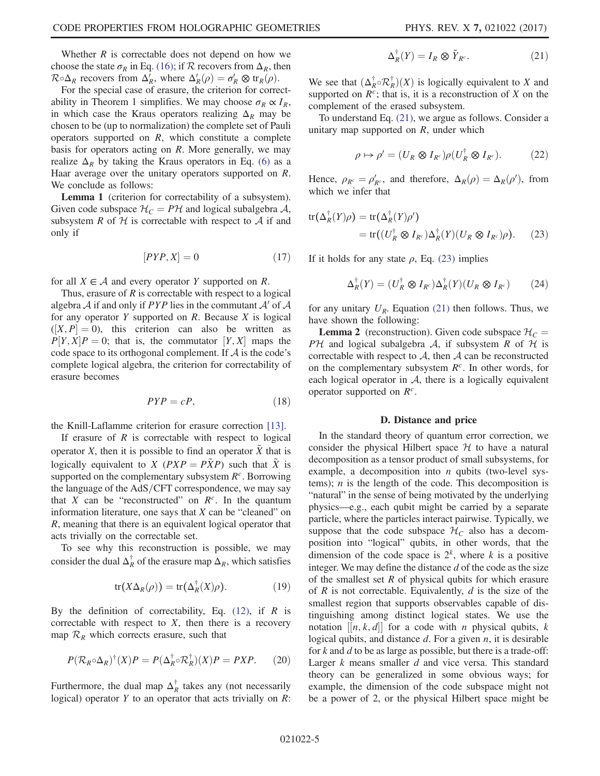Whether  $R$  is correctable does not depend on how we choose the state  $\sigma_R$  in Eq. [\(16\);](#page-3-2) if  $R$  recovers from  $\Delta_R$ , then  $\mathcal{R} \circ \Delta_R$  recovers from  $\Delta'_R$ , where  $\Delta'_R(\rho) = \sigma'_R \otimes \text{tr}_R(\rho)$ .<br>For the special case of erasure the criterion for corre

For the special case of erasure, the criterion for correctability in Theorem 1 simplifies. We may choose  $\sigma_R \propto I_R$ , in which case the Kraus operators realizing  $\Delta_R$  may be chosen to be (up to normalization) the complete set of Pauli operators supported on  $R$ , which constitute a complete basis for operators acting on  $R$ . More generally, we may realize  $\Delta_R$  by taking the Kraus operators in Eq. [\(6\)](#page-2-0) as a Haar average over the unitary operators supported on R. We conclude as follows:

Lemma 1 (criterion for correctability of a subsystem). Given code subspace  $H_C = P\mathcal{H}$  and logical subalgebra  $\mathcal{A}$ , subsystem  $R$  of  $H$  is correctable with respect to  $A$  if and only if

$$
[PYP, X] = 0 \tag{17}
$$

for all  $X \in \mathcal{A}$  and every operator Y supported on R.

Thus, erasure of  $R$  is correctable with respect to a logical algebra A if and only if PYP lies in the commutant  $A'$  of A for any operator  $Y$  supported on  $R$ . Because  $X$  is logical  $([X, P] = 0)$ , this criterion can also be written as  $P[Y|X] = 0$ ; that is the commutator  $[Y|X]$  mans the  $P[Y, X]P = 0$ ; that is, the commutator  $[Y, X]$  maps the code space to its orthogonal complement If A is the code's code space to its orthogonal complement. If  $A$  is the code's complete logical algebra, the criterion for correctability of erasure becomes

$$
PYP = cP,\t\t(18)
$$

the Knill-Laflamme criterion for erasure correction [\[13\].](#page-19-0)

If erasure of  $R$  is correctable with respect to logical operator X, then it is possible to find an operator  $\tilde{X}$  that is logically equivalent to X ( $PXP = \tilde{PXP}$ ) such that X is supported on the complementary subsystem  $R<sup>c</sup>$ . Borrowing the language of the  $AdS/CFT$  correspondence, we may say that X can be "reconstructed" on  $R<sup>c</sup>$ . In the quantum information literature, one says that  $X$  can be "cleaned" on R, meaning that there is an equivalent logical operator that acts trivially on the correctable set.

To see why this reconstruction is possible, we may consider the dual  $\Delta_R^{\dagger}$  of the erasure map  $\Delta_R$ , which satisfies

$$
tr(X\Delta_R(\rho)) = tr(\Delta_R^{\dagger}(X)\rho).
$$
 (19)

By the definition of correctability, Eq.  $(12)$ , if R is correctable with respect to  $X$ , then there is a recovery map  $\mathcal{R}_R$  which corrects erasure, such that

$$
P(\mathcal{R}_R \circ \Delta_R)^{\dagger}(X)P = P(\Delta_R^{\dagger} \circ \mathcal{R}_R^{\dagger})(X)P = PXP. \tag{20}
$$

<span id="page-4-0"></span>Furthermore, the dual map  $\Delta_R^{\dagger}$  takes any (not necessarily logical) operator  $Y$  to an operator that acts trivially on  $R$ :

$$
\Delta_R^{\dagger}(Y) = I_R \otimes \tilde{Y}_{R^c}.
$$
 (21)

We see that  $(\Delta_R^{\dagger} \circ \mathcal{R}_R^{\dagger})(X)$  is logically equivalent to X and<br>supported on  $R^c$ ; that is it is a reconstruction of X on the supported on  $R^c$ ; that is, it is a reconstruction of X on the complement of the erased subsystem.

To understand Eq. [\(21\),](#page-4-0) we argue as follows. Consider a unitary map supported on  $R$ , under which

$$
\rho \mapsto \rho' = (U_R \otimes I_{R^c}) \rho (U_R^{\dagger} \otimes I_{R^c}). \tag{22}
$$

<span id="page-4-1"></span>Hence,  $\rho_{R^c} = \rho'_{R^c}$ , and therefore,  $\Delta_R(\rho) = \Delta_R(\rho')$ , from which we infer that which we infer that

$$
tr(\Delta_R^{\dagger}(Y)\rho) = tr(\Delta_R^{\dagger}(Y)\rho')
$$
  
= tr((U\_R^{\dagger} \otimes I\_{R^c})\Delta\_R^{\dagger}(Y)(U\_R \otimes I\_{R^c})\rho). (23)

If it holds for any state  $\rho$ , Eq. [\(23\)](#page-4-1) implies

$$
\Delta_R^{\dagger}(Y) = (U_R^{\dagger} \otimes I_{R^c}) \Delta_R^{\dagger}(Y) (U_R \otimes I_{R^c}) \qquad (24)
$$

for any unitary  $U_R$ . Equation [\(21\)](#page-4-0) then follows. Thus, we have shown the following:

**Lemma 2** (reconstruction). Given code subspace  $\mathcal{H}_C$  = PH and logical subalgebra A, if subsystem R of H is correctable with respect to  $A$ , then  $A$  can be reconstructed on the complementary subsystem  $R<sup>c</sup>$ . In other words, for each logical operator in  $A$ , there is a logically equivalent operator supported on  $R^c$ .

#### D. Distance and price

<span id="page-4-2"></span>In the standard theory of quantum error correction, we consider the physical Hilbert space  $H$  to have a natural decomposition as a tensor product of small subsystems, for example, a decomposition into  $n$  qubits (two-level systems);  $n$  is the length of the code. This decomposition is "natural" in the sense of being motivated by the underlying physics—e.g., each qubit might be carried by a separate particle, where the particles interact pairwise. Typically, we suppose that the code subspace  $\mathcal{H}_C$  also has a decomposition into "logical" qubits, in other words, that the dimension of the code space is  $2^k$ , where k is a positive integer. We may define the distance  $d$  of the code as the size of the smallest set  $R$  of physical qubits for which erasure of  $R$  is not correctable. Equivalently,  $d$  is the size of the smallest region that supports observables capable of distinguishing among distinct logical states. We use the notation  $[[n, k, d]]$  for a code with *n* physical qubits, *k*<br>logical qubits, and distance *d*. For a given *n* it is desirable logical qubits, and distance d. For a given n, it is desirable for  $k$  and  $d$  to be as large as possible, but there is a trade-off: Larger  $k$  means smaller  $d$  and vice versa. This standard theory can be generalized in some obvious ways; for example, the dimension of the code subspace might not be a power of 2, or the physical Hilbert space might be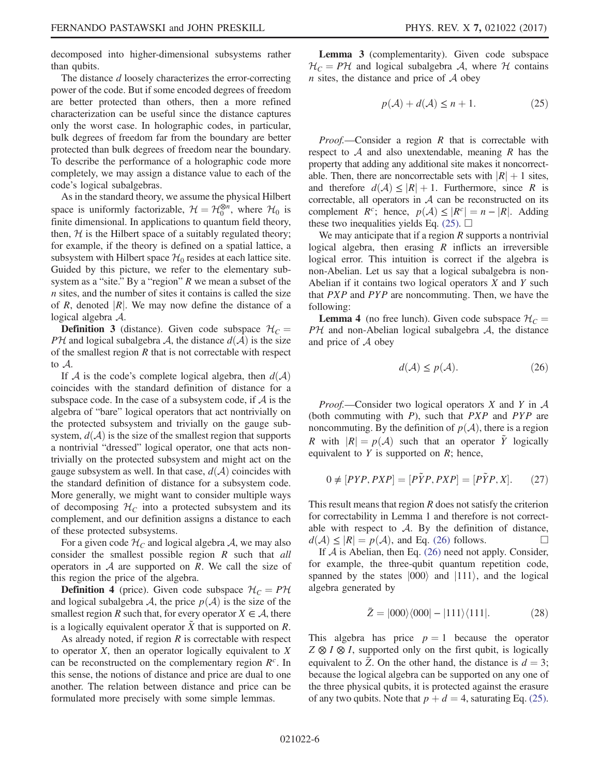decomposed into higher-dimensional subsystems rather than qubits.

The distance d loosely characterizes the error-correcting power of the code. But if some encoded degrees of freedom are better protected than others, then a more refined characterization can be useful since the distance captures only the worst case. In holographic codes, in particular, bulk degrees of freedom far from the boundary are better protected than bulk degrees of freedom near the boundary. To describe the performance of a holographic code more completely, we may assign a distance value to each of the code's logical subalgebras.

As in the standard theory, we assume the physical Hilbert space is uniformly factorizable,  $\mathcal{H} = \mathcal{H}_0^{\otimes n}$ , where  $\mathcal{H}_0$  is finite dimensional. In applications to quantum field theory finite dimensional. In applications to quantum field theory, then,  $H$  is the Hilbert space of a suitably regulated theory; for example, if the theory is defined on a spatial lattice, a subsystem with Hilbert space  $\mathcal{H}_0$  resides at each lattice site. Guided by this picture, we refer to the elementary subsystem as a "site." By a "region" R we mean a subset of the n sites, and the number of sites it contains is called the size of R, denoted  $|R|$ . We may now define the distance of a logical algebra A.

**Definition 3** (distance). Given code subspace  $\mathcal{H}_C$  = PH and logical subalgebra A, the distance  $d(A)$  is the size of the smallest region  $R$  that is not correctable with respect to A.

If A is the code's complete logical algebra, then  $d(A)$ coincides with the standard definition of distance for a subspace code. In the case of a subsystem code, if  $A$  is the algebra of "bare" logical operators that act nontrivially on the protected subsystem and trivially on the gauge subsystem,  $d(A)$  is the size of the smallest region that supports a nontrivial "dressed" logical operator, one that acts nontrivially on the protected subsystem and might act on the gauge subsystem as well. In that case,  $d(A)$  coincides with the standard definition of distance for a subsystem code. More generally, we might want to consider multiple ways of decomposing  $H_C$  into a protected subsystem and its complement, and our definition assigns a distance to each of these protected subsystems.

For a given code  $\mathcal{H}_C$  and logical algebra  $\mathcal{A}$ , we may also consider the smallest possible region  $R$  such that all operators in  $A$  are supported on  $R$ . We call the size of this region the price of the algebra.

**Definition 4** (price). Given code subspace  $\mathcal{H}_C = P\mathcal{H}$ and logical subalgebra A, the price  $p(A)$  is the size of the smallest region R such that, for every operator  $X \in \mathcal{A}$ , there is a logically equivalent operator  $\tilde{X}$  that is supported on R.

As already noted, if region  $R$  is correctable with respect to operator  $X$ , then an operator logically equivalent to  $X$ can be reconstructed on the complementary region  $R<sup>c</sup>$ . In this sense, the notions of distance and price are dual to one another. The relation between distance and price can be formulated more precisely with some simple lemmas.

<span id="page-5-0"></span>Lemma 3 (complementarity). Given code subspace  $H_C = P\mathcal{H}$  and logical subalgebra A, where H contains  $n$  sites, the distance and price of  $A$  obey

$$
p(\mathcal{A}) + d(\mathcal{A}) \le n + 1. \tag{25}
$$

*Proof.*—Consider a region  $R$  that is correctable with respect to  $A$  and also unextendable, meaning  $R$  has the property that adding any additional site makes it noncorrectable. Then, there are noncorrectable sets with  $|R| + 1$  sites, and therefore  $d(A) \leq |R| + 1$ . Furthermore, since R is correctable, all operators in  $A$  can be reconstructed on its complement  $R^c$ ; hence,  $p(A) \leq |R^c| = n - |R|$ . Adding these two inequalities yields Eq. [\(25\)](#page-5-0).  $\Box$ 

We may anticipate that if a region  $R$  supports a nontrivial logical algebra, then erasing  $R$  inflicts an irreversible logical error. This intuition is correct if the algebra is non-Abelian. Let us say that a logical subalgebra is non-Abelian if it contains two logical operators  $X$  and  $Y$  such that PXP and PYP are noncommuting. Then, we have the following:

<span id="page-5-1"></span>**Lemma 4** (no free lunch). Given code subspace  $\mathcal{H}_C$  =  $P\mathcal{H}$  and non-Abelian logical subalgebra  $\mathcal{A}$ , the distance and price of A obey

$$
d(\mathcal{A}) \le p(\mathcal{A}).\tag{26}
$$

*Proof.*—Consider two logical operators  $X$  and  $Y$  in  $A$ (both commuting with  $P$ ), such that  $PXP$  and  $PYP$  are noncommuting. By the definition of  $p(A)$ , there is a region R with  $|R| = p(A)$  such that an operator Y logically equivalent to  $Y$  is supported on  $R$ ; hence,

$$
0 \neq [PYP, PXP] = [P\tilde{Y}P, PXP] = [P\tilde{Y}P, X]. \tag{27}
$$

This result means that region  *does not satisfy the criterion* for correctability in Lemma 1 and therefore is not correctable with respect to  $A$ . By the definition of distance,  $d(\mathcal{A}) \leq |R| = p(\mathcal{A})$ , and Eq. [\(26\)](#page-5-1) follows.  $\square$ <br>If  $\mathcal A$  is Abelian, then Eq. (26) need not apply. Consider,

for example, the three-qubit quantum repetition code, spanned by the states  $|000\rangle$  and  $|111\rangle$ , and the logical algebra generated by

$$
\bar{Z} = |000\rangle\langle000| - |111\rangle\langle111|.
$$
 (28)

This algebra has price  $p = 1$  because the operator  $Z \otimes I \otimes I$ , supported only on the first qubit, is logically equivalent to  $\bar{Z}$ . On the other hand, the distance is  $d = 3$ ; because the logical algebra can be supported on any one of the three physical qubits, it is protected against the erasure of any two qubits. Note that  $p + d = 4$ , saturating Eq. [\(25\)](#page-5-0).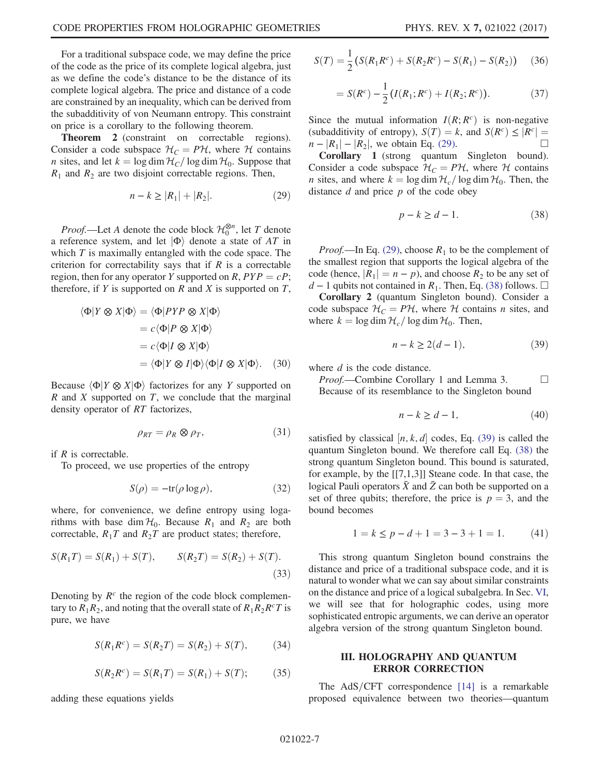For a traditional subspace code, we may define the price of the code as the price of its complete logical algebra, just as we define the code's distance to be the distance of its complete logical algebra. The price and distance of a code are constrained by an inequality, which can be derived from the subadditivity of von Neumann entropy. This constraint on price is a corollary to the following theorem.

<span id="page-6-1"></span>Theorem 2 (constraint on correctable regions). Consider a code subspace  $H_C = P H$ , where H contains *n* sites, and let  $k = \log \dim \mathcal{H}_C / \log \dim \mathcal{H}_0$ . Suppose that  $R_1$  and  $R_2$  are two disjoint correctable regions. Then,

$$
n - k \ge |R_1| + |R_2|.\tag{29}
$$

*Proof.*—Let A denote the code block  $\mathcal{H}_0^{\otimes n}$ , let T denote a reference system, and let  $|\Phi\rangle$  denote a state of AT in which  $T$  is maximally entangled with the code space. The criterion for correctability says that if  $R$  is a correctable region, then for any operator Y supported on R,  $PYP = cP$ ; therefore, if  $Y$  is supported on  $R$  and  $X$  is supported on  $T$ ,

$$
\langle \Phi | Y \otimes X | \Phi \rangle = \langle \Phi | PYP \otimes X | \Phi \rangle
$$
  
=  $c \langle \Phi | P \otimes X | \Phi \rangle$   
=  $c \langle \Phi | I \otimes X | \Phi \rangle$   
=  $\langle \Phi | Y \otimes I | \Phi \rangle \langle \Phi | I \otimes X | \Phi \rangle$ . (30)

Because  $\langle \Phi | Y \otimes X | \Phi \rangle$  factorizes for any Y supported on  $R$  and  $X$  supported on  $T$ , we conclude that the marginal density operator of RT factorizes,

$$
\rho_{RT} = \rho_R \otimes \rho_T,\tag{31}
$$

if  $R$  is correctable.

To proceed, we use properties of the entropy

$$
S(\rho) = -\text{tr}(\rho \log \rho),\tag{32}
$$

where, for convenience, we define entropy using logarithms with base dim  $H_0$ . Because  $R_1$  and  $R_2$  are both correctable,  $R_1T$  and  $R_2T$  are product states; therefore,

$$
S(R_1T) = S(R_1) + S(T), \qquad S(R_2T) = S(R_2) + S(T).
$$
\n(33)

Denoting by  $R<sup>c</sup>$  the region of the code block complementary to  $R_1R_2$ , and noting that the overall state of  $R_1R_2R^cT$  is pure, we have

$$
S(R_1R^c) = S(R_2T) = S(R_2) + S(T), \tag{34}
$$

$$
S(R_2R^c) = S(R_1T) = S(R_1) + S(T); \tag{35}
$$

adding these equations yields

$$
S(T) = \frac{1}{2} \left( S(R_1 R^c) + S(R_2 R^c) - S(R_1) - S(R_2) \right) \tag{36}
$$

$$
= S(Rc) - \frac{1}{2} (I(R1; Rc) + I(R2; Rc)).
$$
 (37)

Since the mutual information  $I(R; R<sup>c</sup>)$  is non-negative (subadditivity of entropy),  $S(T) = k$ , and  $S(R<sup>c</sup>) \le |R<sup>c</sup>| = n - |R<sub>1</sub>| - |R<sub>2</sub>|$ , we obtain Eq. (29).  $n - |R_1| - |R_2|$ , we obtain Eq. [\(29\)](#page-6-1). <br> **Corollary 1** (strong quantum Singleton bound).

<span id="page-6-2"></span>Consider a code subspace  $H_C = P H$ , where H contains *n* sites, and where  $k = \log \dim \mathcal{H}_c / \log \dim \mathcal{H}_0$ . Then, the distance  $d$  and price  $p$  of the code obey

$$
p - k \ge d - 1. \tag{38}
$$

*Proof.*—In Eq. [\(29\),](#page-6-1) choose  $R_1$  to be the complement of the smallest region that supports the logical algebra of the code (hence,  $|R_1| = n - p$ ), and choose  $R_2$  to be any set of  $d-1$  qubits not contained in  $R_1$ . Then, Eq. [\(38\)](#page-6-2) follows. □

<span id="page-6-3"></span>Corollary 2 (quantum Singleton bound). Consider a code subspace  $H_C = P\mathcal{H}$ , where H contains n sites, and where  $k = \log \dim \mathcal{H}_c / \log \dim \mathcal{H}_0$ . Then,

$$
n - k \ge 2(d - 1),\tag{39}
$$

where  $d$  is the code distance.

*Proof.*—Combine Corollary 1 and Lemma 3.  $\Box$ Because of its resemblance to the Singleton bound

$$
n - k \ge d - 1,\tag{40}
$$

satisfied by classical  $[n, k, d]$  codes, Eq. [\(39\)](#page-6-3) is called the quantum Singleton bound. We therefore call Eq. (38) the quantum Singleton bound. We therefore call Eq. [\(38\)](#page-6-2) the strong quantum Singleton bound. This bound is saturated, for example, by the [[7,1,3]] Steane code. In that case, the logical Pauli operators  $\bar{X}$  and  $\bar{Z}$  can both be supported on a set of three qubits; therefore, the price is  $p = 3$ , and the bound becomes

$$
1 = k \le p - d + 1 = 3 - 3 + 1 = 1. \tag{41}
$$

This strong quantum Singleton bound constrains the distance and price of a traditional subspace code, and it is natural to wonder what we can say about similar constraints on the distance and price of a logical subalgebra. In Sec. [VI](#page-15-0), we will see that for holographic codes, using more sophisticated entropic arguments, we can derive an operator algebra version of the strong quantum Singleton bound.

## <span id="page-6-0"></span>III. HOLOGRAPHY AND QUANTUM ERROR CORRECTION

The  $AdS/CFT$  correspondence [\[14\]](#page-19-1) is a remarkable proposed equivalence between two theories—quantum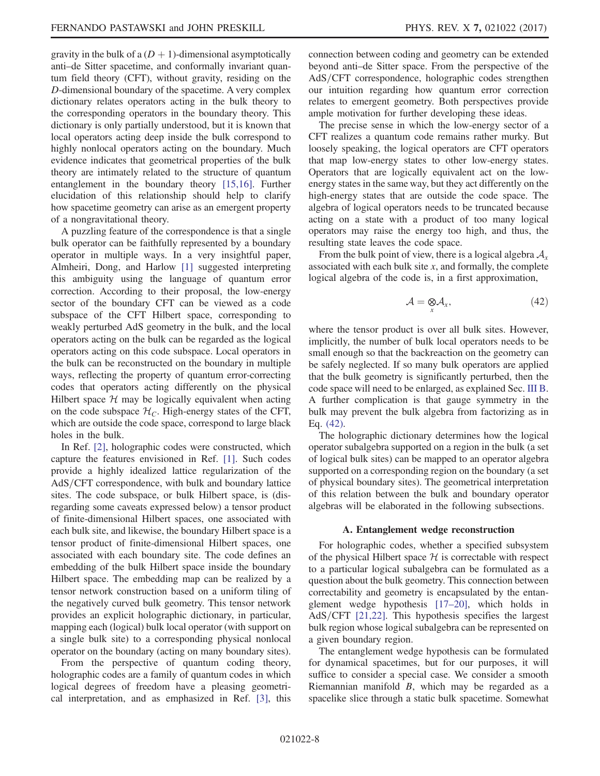gravity in the bulk of a  $(D + 1)$ -dimensional asymptotically anti–de Sitter spacetime, and conformally invariant quantum field theory (CFT), without gravity, residing on the D-dimensional boundary of the spacetime. A very complex dictionary relates operators acting in the bulk theory to the corresponding operators in the boundary theory. This dictionary is only partially understood, but it is known that local operators acting deep inside the bulk correspond to highly nonlocal operators acting on the boundary. Much evidence indicates that geometrical properties of the bulk theory are intimately related to the structure of quantum entanglement in the boundary theory [\[15,16\]](#page-19-2). Further elucidation of this relationship should help to clarify how spacetime geometry can arise as an emergent property of a nongravitational theory.

A puzzling feature of the correspondence is that a single bulk operator can be faithfully represented by a boundary operator in multiple ways. In a very insightful paper, Almheiri, Dong, and Harlow [\[1\]](#page-18-0) suggested interpreting this ambiguity using the language of quantum error correction. According to their proposal, the low-energy sector of the boundary CFT can be viewed as a code subspace of the CFT Hilbert space, corresponding to weakly perturbed AdS geometry in the bulk, and the local operators acting on the bulk can be regarded as the logical operators acting on this code subspace. Local operators in the bulk can be reconstructed on the boundary in multiple ways, reflecting the property of quantum error-correcting codes that operators acting differently on the physical Hilbert space  $H$  may be logically equivalent when acting on the code subspace  $\mathcal{H}_C$ . High-energy states of the CFT, which are outside the code space, correspond to large black holes in the bulk.

In Ref. [\[2\],](#page-18-1) holographic codes were constructed, which capture the features envisioned in Ref. [\[1\].](#page-18-0) Such codes provide a highly idealized lattice regularization of the AdS/CFT correspondence, with bulk and boundary lattice sites. The code subspace, or bulk Hilbert space, is (disregarding some caveats expressed below) a tensor product of finite-dimensional Hilbert spaces, one associated with each bulk site, and likewise, the boundary Hilbert space is a tensor product of finite-dimensional Hilbert spaces, one associated with each boundary site. The code defines an embedding of the bulk Hilbert space inside the boundary Hilbert space. The embedding map can be realized by a tensor network construction based on a uniform tiling of the negatively curved bulk geometry. This tensor network provides an explicit holographic dictionary, in particular, mapping each (logical) bulk local operator (with support on a single bulk site) to a corresponding physical nonlocal operator on the boundary (acting on many boundary sites).

From the perspective of quantum coding theory, holographic codes are a family of quantum codes in which logical degrees of freedom have a pleasing geometrical interpretation, and as emphasized in Ref. [\[3\],](#page-18-2) this connection between coding and geometry can be extended beyond anti–de Sitter space. From the perspective of the AdS/CFT correspondence, holographic codes strengthen our intuition regarding how quantum error correction relates to emergent geometry. Both perspectives provide ample motivation for further developing these ideas.

The precise sense in which the low-energy sector of a CFT realizes a quantum code remains rather murky. But loosely speaking, the logical operators are CFT operators that map low-energy states to other low-energy states. Operators that are logically equivalent act on the lowenergy states in the same way, but they act differently on the high-energy states that are outside the code space. The algebra of logical operators needs to be truncated because acting on a state with a product of too many logical operators may raise the energy too high, and thus, the resulting state leaves the code space.

<span id="page-7-0"></span>From the bulk point of view, there is a logical algebra  $A<sub>x</sub>$ associated with each bulk site  $x$ , and formally, the complete logical algebra of the code is, in a first approximation,

$$
\mathcal{A} = \underset{x}{\otimes} \mathcal{A}_x, \tag{42}
$$

where the tensor product is over all bulk sites. However, implicitly, the number of bulk local operators needs to be small enough so that the backreaction on the geometry can be safely neglected. If so many bulk operators are applied that the bulk geometry is significantly perturbed, then the code space will need to be enlarged, as explained Sec. [III B](#page-9-0). A further complication is that gauge symmetry in the bulk may prevent the bulk algebra from factorizing as in Eq. [\(42\)](#page-7-0).

The holographic dictionary determines how the logical operator subalgebra supported on a region in the bulk (a set of logical bulk sites) can be mapped to an operator algebra supported on a corresponding region on the boundary (a set of physical boundary sites). The geometrical interpretation of this relation between the bulk and boundary operator algebras will be elaborated in the following subsections.

### A. Entanglement wedge reconstruction

<span id="page-7-1"></span>For holographic codes, whether a specified subsystem of the physical Hilbert space  $H$  is correctable with respect to a particular logical subalgebra can be formulated as a question about the bulk geometry. This connection between correctability and geometry is encapsulated by the entanglement wedge hypothesis [\[17](#page-19-3)–20], which holds in AdS/CFT  $[21,22]$ . This hypothesis specifies the largest bulk region whose logical subalgebra can be represented on a given boundary region.

The entanglement wedge hypothesis can be formulated for dynamical spacetimes, but for our purposes, it will suffice to consider a special case. We consider a smooth Riemannian manifold B, which may be regarded as a spacelike slice through a static bulk spacetime. Somewhat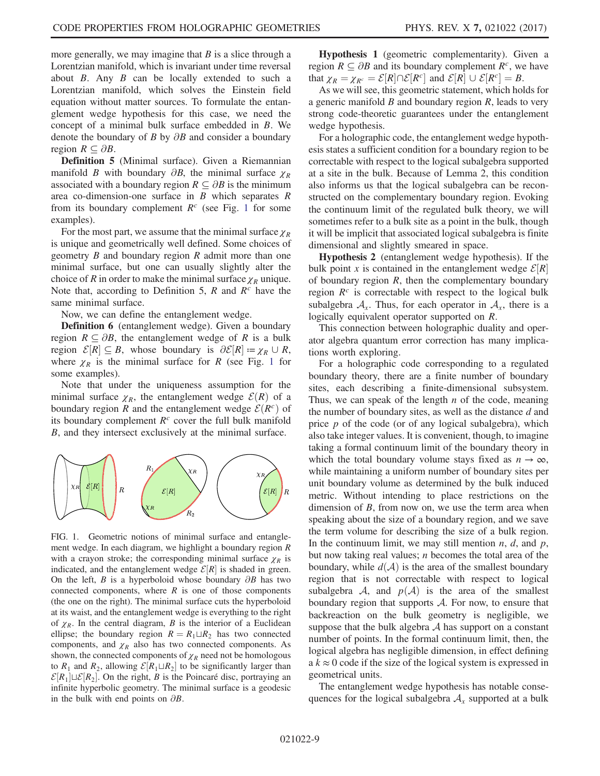more generally, we may imagine that  $B$  is a slice through a Lorentzian manifold, which is invariant under time reversal about  $B$ . Any  $B$  can be locally extended to such a Lorentzian manifold, which solves the Einstein field equation without matter sources. To formulate the entanglement wedge hypothesis for this case, we need the concept of a minimal bulk surface embedded in B. We denote the boundary of B by  $\partial B$  and consider a boundary region  $R \subseteq \partial B$ .

Definition 5 (Minimal surface). Given a Riemannian manifold B with boundary  $\partial B$ , the minimal surface  $\chi_R$ associated with a boundary region  $R \subseteq \partial B$  is the minimum area co-dimension-one surface in  $B$  which separates  $R$ from its boundary complement  $R<sup>c</sup>$  (see Fig. [1](#page-8-0) for some examples).

For the most part, we assume that the minimal surface  $\chi_R$ is unique and geometrically well defined. Some choices of geometry B and boundary region R admit more than one minimal surface, but one can usually slightly alter the choice of R in order to make the minimal surface  $\chi_R$  unique. Note that, according to Definition 5, R and  $R<sup>c</sup>$  have the same minimal surface.

Now, we can define the entanglement wedge.

Definition 6 (entanglement wedge). Given a boundary region  $R \subseteq \partial B$ , the entanglement wedge of R is a bulk region  $\mathcal{E}[R] \subseteq B$ , whose boundary is  $\partial \mathcal{E}[R] := \chi_R \cup R$ ,<br>where  $\chi_p$  is the minimal surface for R (see Fig. 1 for where  $\chi_R$  is the minimal surface for R (see Fig. [1](#page-8-0) for some examples).

Note that under the uniqueness assumption for the minimal surface  $\chi_R$ , the entanglement wedge  $\mathcal{E}(R)$  of a boundary region R and the entanglement wedge  $\mathcal{E}(R^c)$  of its boundary complement  $R<sup>c</sup>$  cover the full bulk manifold B, and they intersect exclusively at the minimal surface.

<span id="page-8-0"></span>

FIG. 1. Geometric notions of minimal surface and entanglement wedge. In each diagram, we highlight a boundary region R with a crayon stroke; the corresponding minimal surface  $\chi_R$  is indicated, and the entanglement wedge  $\mathcal{E}[R]$  is shaded in green.<br>On the left, R is a hyperholoid whose boundary  $\partial R$  has two On the left, B is a hyperboloid whose boundary  $\partial B$  has two connected components, where  $R$  is one of those components (the one on the right). The minimal surface cuts the hyperboloid at its waist, and the entanglement wedge is everything to the right of  $\chi_R$ . In the central diagram, B is the interior of a Euclidean ellipse; the boundary region  $R = R_1 \sqcup R_2$  has two connected components, and  $\chi_R$  also has two connected components. As shown, the connected components of  $\chi_R$  need not be homologous to  $R_1$  and  $R_2$ , allowing  $\mathcal{E}[R_1 \sqcup R_2]$  to be significantly larger than  $\mathcal{E}[R_1 \sqcup \mathcal{E}[R_2]$ . On the right R is the Poincaré disc, portraying an  $\mathcal{E}[R_1] \sqcup \mathcal{E}[R_2]$ . On the right, B is the Poincaré disc, portraying an infinite hyperbolic geometry. The minimal surface is a geodesic infinite hyperbolic geometry. The minimal surface is a geodesic in the bulk with end points on  $\partial B$ .

Hypothesis 1 (geometric complementarity). Given a region  $R \subseteq \partial B$  and its boundary complement  $R^c$ , we have that  $\chi_R = \chi_{R^c} = \mathcal{E}[R] \cap \mathcal{E}[R^c]$  and  $\mathcal{E}[R] \cup \mathcal{E}[R^c] = B$ .<br>As we will see, this geometric statement, which holds

As we will see, this geometric statement, which holds for a generic manifold  $B$  and boundary region  $R$ , leads to very strong code-theoretic guarantees under the entanglement wedge hypothesis.

For a holographic code, the entanglement wedge hypothesis states a sufficient condition for a boundary region to be correctable with respect to the logical subalgebra supported at a site in the bulk. Because of Lemma 2, this condition also informs us that the logical subalgebra can be reconstructed on the complementary boundary region. Evoking the continuum limit of the regulated bulk theory, we will sometimes refer to a bulk site as a point in the bulk, though it will be implicit that associated logical subalgebra is finite dimensional and slightly smeared in space.

Hypothesis 2 (entanglement wedge hypothesis). If the bulk point x is contained in the entanglement wedge  $\mathcal{E}[R]$ <br>of boundary region R, then the complementary boundary of boundary region  $R$ , then the complementary boundary region  $R<sup>c</sup>$  is correctable with respect to the logical bulk subalgebra  $A<sub>x</sub>$ . Thus, for each operator in  $A<sub>x</sub>$ , there is a logically equivalent operator supported on R.

This connection between holographic duality and operator algebra quantum error correction has many implications worth exploring.

For a holographic code corresponding to a regulated boundary theory, there are a finite number of boundary sites, each describing a finite-dimensional subsystem. Thus, we can speak of the length  $n$  of the code, meaning the number of boundary sites, as well as the distance  $d$  and price  $p$  of the code (or of any logical subalgebra), which also take integer values. It is convenient, though, to imagine taking a formal continuum limit of the boundary theory in which the total boundary volume stays fixed as  $n \to \infty$ , while maintaining a uniform number of boundary sites per unit boundary volume as determined by the bulk induced metric. Without intending to place restrictions on the dimension of  $B$ , from now on, we use the term area when speaking about the size of a boundary region, and we save the term volume for describing the size of a bulk region. In the continuum limit, we may still mention  $n$ ,  $d$ , and  $p$ , but now taking real values;  $n$  becomes the total area of the boundary, while  $d(A)$  is the area of the smallest boundary region that is not correctable with respect to logical subalgebra A, and  $p(A)$  is the area of the smallest boundary region that supports  $A$ . For now, to ensure that backreaction on the bulk geometry is negligible, we suppose that the bulk algebra  $A$  has support on a constant number of points. In the formal continuum limit, then, the logical algebra has negligible dimension, in effect defining a  $k \approx 0$  code if the size of the logical system is expressed in geometrical units.

The entanglement wedge hypothesis has notable consequences for the logical subalgebra  $A_x$  supported at a bulk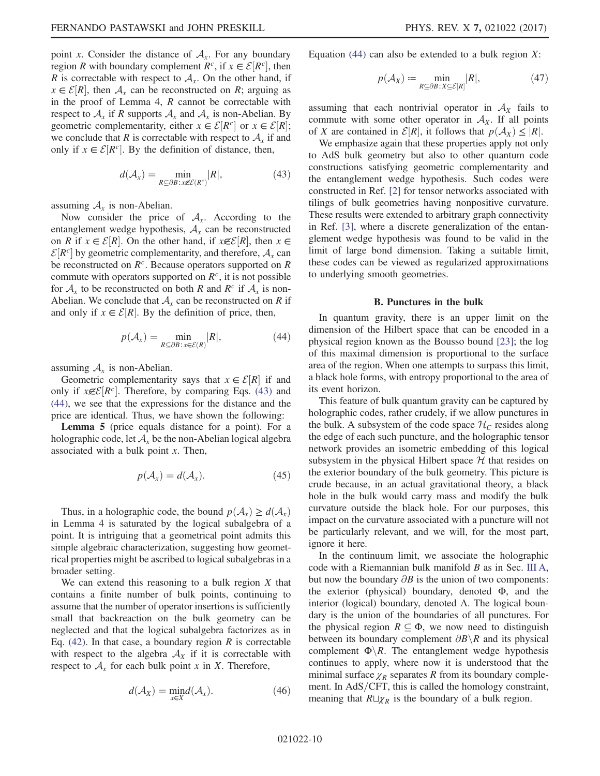point x. Consider the distance of  $A<sub>x</sub>$ . For any boundary region R with boundary complement  $R^c$ , if  $x \in \mathcal{E}[R^c]$ , then R is correctable with respect to A. On the other hand if R is correctable with respect to  $A_x$ . On the other hand, if  $x \in \mathcal{E}[R]$ , then  $\mathcal{A}_x$  can be reconstructed on R; arguing as<br>in the proof of Lemma 4, R cannot be correctable with in the proof of Lemma 4, R cannot be correctable with respect to  $A_x$  if R supports  $A_x$  and  $A_x$  is non-Abelian. By geometric complementarity, either  $x \in \mathcal{E}[R^c]$  or  $x \in \mathcal{E}[R]$ ;<br>we conclude that R is correctable with respect to A if and we conclude that R is correctable with respect to  $A<sub>x</sub>$  if and only if  $x \in \mathcal{E}[R^c]$ . By the definition of distance, then,

$$
d(\mathcal{A}_x) = \min_{R \subseteq \partial B : x \notin \mathcal{E}(R^c)} |R|, \tag{43}
$$

<span id="page-9-1"></span>assuming  $A_x$  is non-Abelian.

Now consider the price of  $A_x$ . According to the entanglement wedge hypothesis,  $A<sub>x</sub>$  can be reconstructed on R if  $x \in \mathcal{E}[R]$ . On the other hand, if  $x \in \mathcal{E}[R]$ , then  $x \in \mathcal{E}[R^c]$  by geometric complementarity and therefore A can  $\mathcal{E}[R^c]$  by geometric complementarity, and therefore,  $\mathcal{A}_x$  can<br>be reconstructed on  $R^c$ . Because operators supported on R be reconstructed on  $R<sup>c</sup>$ . Because operators supported on R commute with operators supported on  $R<sup>c</sup>$ , it is not possible for  $A_x$  to be reconstructed on both R and  $R^c$  if  $A_x$  is non-Abelian. We conclude that  $A_x$  can be reconstructed on R if and only if  $x \in \mathcal{E}[R]$ . By the definition of price, then,

$$
p(\mathcal{A}_x) = \min_{R \subseteq \partial B : x \in \mathcal{E}(R)} |R|, \tag{44}
$$

<span id="page-9-2"></span>assuming  $A_x$  is non-Abelian.

Geometric complementarity says that  $x \in \mathcal{E}[R]$  if and<br>ly if  $r \in \mathcal{E}[R^c]$ . Therefore, by comparing Eqs. (43) and only if  $x \in \mathcal{E}[R^c]$ . Therefore, by comparing Eqs. [\(43\)](#page-9-1) and (44) we see that the expressions for the distance and the [\(44\)](#page-9-2), we see that the expressions for the distance and the price are identical. Thus, we have shown the following:

Lemma 5 (price equals distance for a point). For a holographic code, let  $A<sub>x</sub>$  be the non-Abelian logical algebra associated with a bulk point  $x$ . Then,

$$
p(\mathcal{A}_x) = d(\mathcal{A}_x). \tag{45}
$$

Thus, in a holographic code, the bound  $p(\mathcal{A}_r) \geq d(\mathcal{A}_r)$ in Lemma 4 is saturated by the logical subalgebra of a point. It is intriguing that a geometrical point admits this simple algebraic characterization, suggesting how geometrical properties might be ascribed to logical subalgebras in a broader setting.

We can extend this reasoning to a bulk region  $X$  that contains a finite number of bulk points, continuing to assume that the number of operator insertions is sufficiently small that backreaction on the bulk geometry can be neglected and that the logical subalgebra factorizes as in Eq.  $(42)$ . In that case, a boundary region R is correctable with respect to the algebra  $A_X$  if it is correctable with respect to  $A_x$  for each bulk point x in X. Therefore,

$$
d(\mathcal{A}_X) = \min_{x \in X} d(\mathcal{A}_x). \tag{46}
$$

Equation [\(44\)](#page-9-2) can also be extended to a bulk region  $X$ :

$$
p(\mathcal{A}_X) := \min_{R \subseteq \partial B \,:\, X \subseteq \mathcal{E}[R]} |R|,\tag{47}
$$

assuming that each nontrivial operator in  $A_X$  fails to commute with some other operator in  $A_X$ . If all points of X are contained in  $\mathcal{E}[R]$ , it follows that  $p(A_X) \leq |R|$ .<br>We emphasize again that these properties apply not only

We emphasize again that these properties apply not only to AdS bulk geometry but also to other quantum code constructions satisfying geometric complementarity and the entanglement wedge hypothesis. Such codes were constructed in Ref. [\[2\]](#page-18-1) for tensor networks associated with tilings of bulk geometries having nonpositive curvature. These results were extended to arbitrary graph connectivity in Ref. [\[3\],](#page-18-2) where a discrete generalization of the entanglement wedge hypothesis was found to be valid in the limit of large bond dimension. Taking a suitable limit, these codes can be viewed as regularized approximations to underlying smooth geometries.

#### B. Punctures in the bulk

<span id="page-9-0"></span>In quantum gravity, there is an upper limit on the dimension of the Hilbert space that can be encoded in a physical region known as the Bousso bound [\[23\]](#page-19-5); the log of this maximal dimension is proportional to the surface area of the region. When one attempts to surpass this limit, a black hole forms, with entropy proportional to the area of its event horizon.

This feature of bulk quantum gravity can be captured by holographic codes, rather crudely, if we allow punctures in the bulk. A subsystem of the code space  $\mathcal{H}_C$  resides along the edge of each such puncture, and the holographic tensor network provides an isometric embedding of this logical subsystem in the physical Hilbert space  $H$  that resides on the exterior boundary of the bulk geometry. This picture is crude because, in an actual gravitational theory, a black hole in the bulk would carry mass and modify the bulk curvature outside the black hole. For our purposes, this impact on the curvature associated with a puncture will not be particularly relevant, and we will, for the most part, ignore it here.

In the continuum limit, we associate the holographic code with a Riemannian bulk manifold B as in Sec. [III A](#page-7-1), but now the boundary  $\partial B$  is the union of two components: the exterior (physical) boundary, denoted Φ, and the interior (logical) boundary, denoted Λ. The logical boundary is the union of the boundaries of all punctures. For the physical region  $R \subseteq \Phi$ , we now need to distinguish between its boundary complement  $\partial B \setminus R$  and its physical complement  $\Phi \backslash R$ . The entanglement wedge hypothesis continues to apply, where now it is understood that the minimal surface  $\chi_R$  separates R from its boundary complement. In  $AdS/CFT$ , this is called the homology constraint, meaning that  $R\sqcup\chi_R$  is the boundary of a bulk region.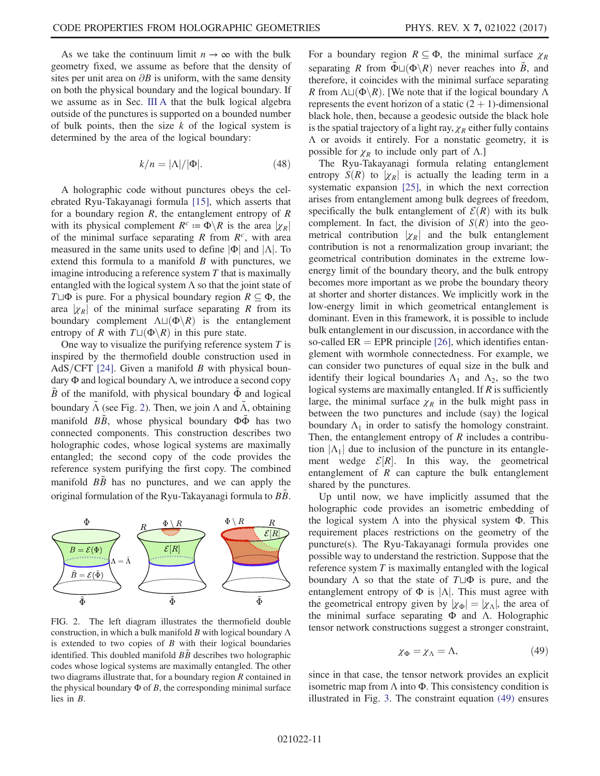As we take the continuum limit  $n \to \infty$  with the bulk geometry fixed, we assume as before that the density of sites per unit area on  $\partial B$  is uniform, with the same density on both the physical boundary and the logical boundary. If we assume as in Sec. [III A](#page-7-1) that the bulk logical algebra outside of the punctures is supported on a bounded number of bulk points, then the size  $k$  of the logical system is determined by the area of the logical boundary:

$$
k/n = |\Lambda|/|\Phi|.
$$
 (48)

<span id="page-10-2"></span>A holographic code without punctures obeys the celebrated Ryu-Takayanagi formula [\[15\],](#page-19-2) which asserts that for a boundary region  $R$ , the entanglement entropy of  $R$ with its physical complement  $R^c := \Phi \backslash R$  is the area  $|\chi_R|$ of the minimal surface separating R from  $R<sup>c</sup>$ , with area measured in the same units used to define  $|\Phi|$  and  $|\Lambda|$ . To extend this formula to a manifold B with punctures, we imagine introducing a reference system  $T$  that is maximally entangled with the logical system  $\Lambda$  so that the joint state of  $T\Box\Phi$  is pure. For a physical boundary region  $R\subseteq\Phi$ , the area  $|\chi_R|$  of the minimal surface separating R from its boundary complement  $\Lambda \sqcup (\Phi \backslash R)$  is the entanglement entropy of R with  $T\Box(\Phi \backslash R)$  in this pure state.

One way to visualize the purifying reference system  $T$  is inspired by the thermofield double construction used in AdS/CFT [\[24\]](#page-19-6). Given a manifold B with physical boundary Φ and logical boundary Λ, we introduce a second copy  $\tilde{B}$  of the manifold, with physical boundary  $\tilde{\Phi}$  and logical boundary  $\tilde{\Lambda}$  (see Fig. [2](#page-10-0)). Then, we join  $\Lambda$  and  $\tilde{\Lambda}$ , obtaining manifold  $B\ddot{B}$ , whose physical boundary  $\Phi\ddot{\Phi}$  has two connected components. This construction describes two holographic codes, whose logical systems are maximally entangled; the second copy of the code provides the reference system purifying the first copy. The combined manifold  $B\tilde{B}$  has no punctures, and we can apply the original formulation of the Ryu-Takayanagi formula to  $BB$ .

<span id="page-10-0"></span>

FIG. 2. The left diagram illustrates the thermofield double construction, in which a bulk manifold B with logical boundary  $\Lambda$ is extended to two copies of  $B$  with their logical boundaries identified. This doubled manifold  $B\tilde{B}$  describes two holographic codes whose logical systems are maximally entangled. The other two diagrams illustrate that, for a boundary region R contained in the physical boundary  $\Phi$  of B, the corresponding minimal surface lies in B.

For a boundary region  $R \subseteq \Phi$ , the minimal surface  $\chi_R$ separating R from  $\Phi \sqcup (\Phi \backslash R)$  never reaches into  $\tilde{B}$ , and therefore, it coincides with the minimal surface separating R from  $\Lambda \Box (\Phi \backslash R)$ . [We note that if the logical boundary  $\Lambda$ represents the event horizon of a static  $(2 + 1)$ -dimensional black hole, then, because a geodesic outside the black hole is the spatial trajectory of a light ray,  $\chi_R$  either fully contains Λ or avoids it entirely. For a nonstatic geometry, it is possible for  $\chi_R$  to include only part of  $\Lambda$ .]

The Ryu-Takayanagi formula relating entanglement entropy  $S(R)$  to  $|\chi_R|$  is actually the leading term in a systematic expansion [\[25\],](#page-19-7) in which the next correction arises from entanglement among bulk degrees of freedom, specifically the bulk entanglement of  $\mathcal{E}(R)$  with its bulk complement. In fact, the division of  $S(R)$  into the geometrical contribution  $|\chi_R|$  and the bulk entanglement contribution is not a renormalization group invariant; the geometrical contribution dominates in the extreme lowenergy limit of the boundary theory, and the bulk entropy becomes more important as we probe the boundary theory at shorter and shorter distances. We implicitly work in the low-energy limit in which geometrical entanglement is dominant. Even in this framework, it is possible to include bulk entanglement in our discussion, in accordance with the so-called  $ER = EPR$  principle [\[26\]](#page-19-8), which identifies entanglement with wormhole connectedness. For example, we can consider two punctures of equal size in the bulk and identify their logical boundaries  $\Lambda_1$  and  $\Lambda_2$ , so the two logical systems are maximally entangled. If  $R$  is sufficiently large, the minimal surface  $\chi_R$  in the bulk might pass in between the two punctures and include (say) the logical boundary  $\Lambda_1$  in order to satisfy the homology constraint. Then, the entanglement entropy of  $R$  includes a contribution  $|\Lambda_1|$  due to inclusion of the puncture in its entanglement wedge  $\mathcal{E}[R]$ . In this way, the geometrical<br>entanglement of R can capture the bulk entanglement entanglement of  $R$  can capture the bulk entanglement shared by the punctures.

Up until now, we have implicitly assumed that the holographic code provides an isometric embedding of the logical system  $\Lambda$  into the physical system  $\Phi$ . This requirement places restrictions on the geometry of the puncture(s). The Ryu-Takayanagi formula provides one possible way to understand the restriction. Suppose that the reference system  $T$  is maximally entangled with the logical boundary  $\Lambda$  so that the state of  $T\Box\Phi$  is pure, and the entanglement entropy of  $\Phi$  is | $\Lambda$ |. This must agree with the geometrical entropy given by  $|\chi_{\Phi}| = |\chi_{\Lambda}|$ , the area of the minimal surface separating  $\Phi$  and  $\Lambda$ . Holographic tensor network constructions suggest a stronger constraint,

$$
\chi_{\Phi} = \chi_{\Lambda} = \Lambda, \tag{49}
$$

<span id="page-10-1"></span>since in that case, the tensor network provides an explicit isometric map from  $\Lambda$  into  $\Phi$ . This consistency condition is illustrated in Fig. [3](#page-11-1). The constraint equation [\(49\)](#page-10-1) ensures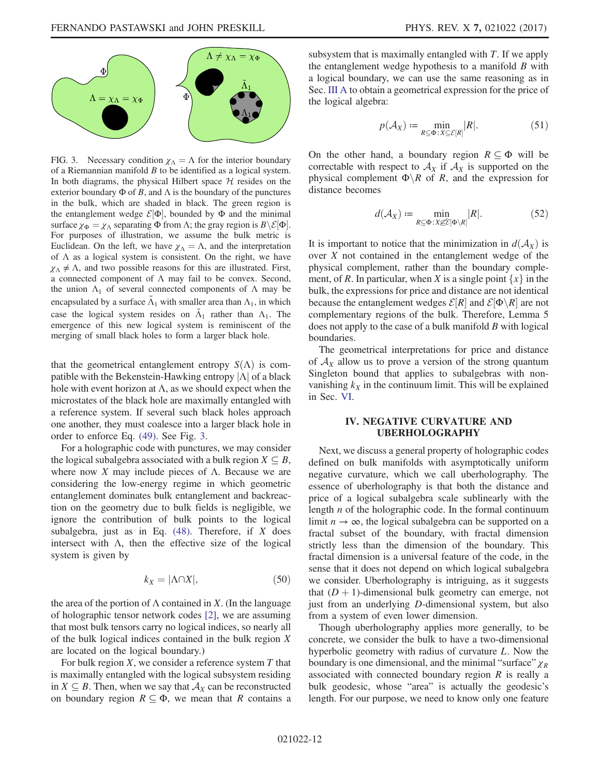<span id="page-11-1"></span>

FIG. 3. Necessary condition  $\chi_{\Lambda} = \Lambda$  for the interior boundary of a Riemannian manifold  $B$  to be identified as a logical system. In both diagrams, the physical Hilbert space  $H$  resides on the exterior boundary  $\Phi$  of B, and  $\Lambda$  is the boundary of the punctures in the bulk, which are shaded in black. The green region is the entanglement wedge  $\mathcal{E}[\Phi]$ , bounded by  $\Phi$  and the minimal<br>surface  $\alpha_{\lambda} = \alpha$ , separating  $\Phi$  from  $\Lambda$ ; the gray region is  $R \setminus \mathcal{E}[\Phi]$ . surface  $\chi_{\Phi} = \chi_{\Lambda}$  separating  $\Phi$  from  $\Lambda$ ; the gray region is  $B \setminus \mathcal{E}[\Phi]$ .<br>For purposes of illustration, we assume the bulk metric is For purposes of illustration, we assume the bulk metric is Euclidean. On the left, we have  $\chi_{\Lambda} = \Lambda$ , and the interpretation of Λ as a logical system is consistent. On the right, we have  $\chi_{\Lambda} \neq \Lambda$ , and two possible reasons for this are illustrated. First, a connected component of Λ may fail to be convex. Second, the union  $\Lambda_1$  of several connected components of  $\Lambda$  may be encapsulated by a surface  $\Lambda_1$  with smaller area than  $\Lambda_1$ , in which case the logical system resides on  $\Lambda_1$  rather than  $\Lambda_1$ . The emergence of this new logical system is reminiscent of the merging of small black holes to form a larger black hole.

that the geometrical entanglement entropy  $S(\Lambda)$  is compatible with the Bekenstein-Hawking entropy  $|\Lambda|$  of a black hole with event horizon at  $\Lambda$ , as we should expect when the microstates of the black hole are maximally entangled with a reference system. If several such black holes approach one another, they must coalesce into a larger black hole in order to enforce Eq. [\(49\)](#page-10-1). See Fig. [3](#page-11-1).

For a holographic code with punctures, we may consider the logical subalgebra associated with a bulk region  $X \subseteq B$ , where now X may include pieces of  $\Lambda$ . Because we are considering the low-energy regime in which geometric entanglement dominates bulk entanglement and backreaction on the geometry due to bulk fields is negligible, we ignore the contribution of bulk points to the logical subalgebra, just as in Eq.  $(48)$ . Therefore, if X does intersect with  $\Lambda$ , then the effective size of the logical system is given by

$$
k_X = |\Lambda \cap X|, \tag{50}
$$

the area of the portion of  $\Lambda$  contained in X. (In the language of holographic tensor network codes [\[2\]](#page-18-1), we are assuming that most bulk tensors carry no logical indices, so nearly all of the bulk logical indices contained in the bulk region X are located on the logical boundary.)

For bulk region  $X$ , we consider a reference system  $T$  that is maximally entangled with the logical subsystem residing in  $X \subseteq B$ . Then, when we say that  $\mathcal{A}_X$  can be reconstructed on boundary region  $R \subseteq \Phi$ , we mean that R contains a subsystem that is maximally entangled with T. If we apply the entanglement wedge hypothesis to a manifold  $B$  with a logical boundary, we can use the same reasoning as in Sec. [III A](#page-7-1) to obtain a geometrical expression for the price of the logical algebra:

$$
p(\mathcal{A}_X) := \min_{R \subseteq \Phi: X \subseteq \mathcal{E}[R]} |R|.
$$
 (51)

On the other hand, a boundary region  $R \subseteq \Phi$  will be correctable with respect to  $A_X$  if  $A_X$  is supported on the physical complement  $\Phi \backslash R$  of R, and the expression for distance becomes

$$
d(\mathcal{A}_X) := \min_{R \subseteq \Phi : X \subseteq \mathcal{E}[\Phi \setminus R]} |R|.
$$
 (52)

It is important to notice that the minimization in  $d(A_X)$  is over X not contained in the entanglement wedge of the physical complement, rather than the boundary complement, of R. In particular, when X is a single point  $\{x\}$  in the bulk, the expressions for price and distance are not identical because the entanglement wedges  $\mathcal{E}[R]$  and  $\mathcal{E}[\Phi \setminus R]$  are not complementary regions of the bulk. Therefore, Lemma 5 complementary regions of the bulk. Therefore, Lemma 5 does not apply to the case of a bulk manifold B with logical boundaries.

The geometrical interpretations for price and distance of  $A_x$  allow us to prove a version of the strong quantum Singleton bound that applies to subalgebras with nonvanishing  $k_x$  in the continuum limit. This will be explained in Sec. [VI.](#page-15-0)

### <span id="page-11-0"></span>IV. NEGATIVE CURVATURE AND UBERHOLOGRAPHY

Next, we discuss a general property of holographic codes defined on bulk manifolds with asymptotically uniform negative curvature, which we call uberholography. The essence of uberholography is that both the distance and price of a logical subalgebra scale sublinearly with the length  $n$  of the holographic code. In the formal continuum limit  $n \to \infty$ , the logical subalgebra can be supported on a fractal subset of the boundary, with fractal dimension strictly less than the dimension of the boundary. This fractal dimension is a universal feature of the code, in the sense that it does not depend on which logical subalgebra we consider. Uberholography is intriguing, as it suggests that  $(D + 1)$ -dimensional bulk geometry can emerge, not just from an underlying D-dimensional system, but also from a system of even lower dimension.

Though uberholography applies more generally, to be concrete, we consider the bulk to have a two-dimensional hyperbolic geometry with radius of curvature L. Now the boundary is one dimensional, and the minimal "surface"  $\chi_R$ associated with connected boundary region  $R$  is really a bulk geodesic, whose "area" is actually the geodesic's length. For our purpose, we need to know only one feature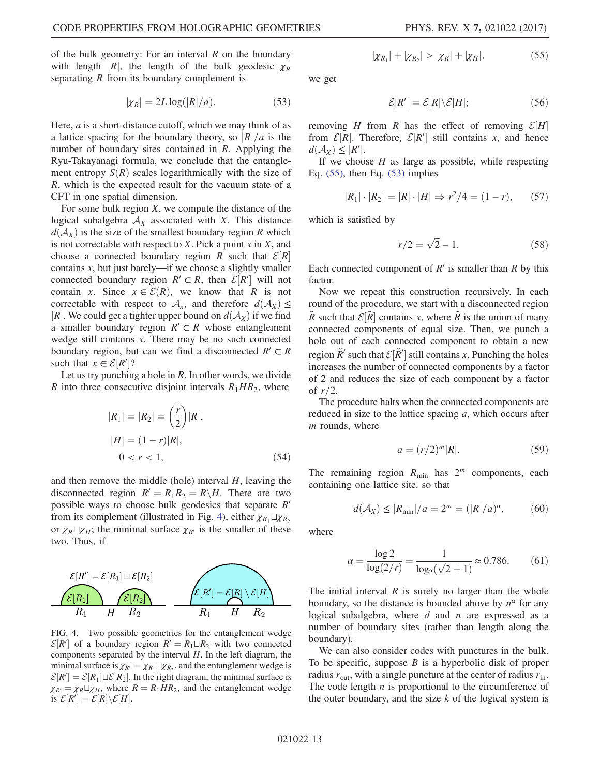<span id="page-12-2"></span>of the bulk geometry: For an interval  $R$  on the boundary with length |R|, the length of the bulk geodesic  $\chi_R$ separating  $R$  from its boundary complement is

$$
|\chi_R| = 2L \log(|R|/a). \tag{53}
$$

Here, *a* is a short-distance cutoff, which we may think of as a lattice spacing for the boundary theory, so  $|R|/a$  is the number of boundary sites contained in R. Applying the Ryu-Takayanagi formula, we conclude that the entanglement entropy  $S(R)$  scales logarithmically with the size of R, which is the expected result for the vacuum state of a CFT in one spatial dimension.

For some bulk region  $X$ , we compute the distance of the logical subalgebra  $A_X$  associated with X. This distance  $d(\mathcal{A}_X)$  is the size of the smallest boundary region R which is not correctable with respect to X. Pick a point  $x$  in  $X$ , and choose a connected boundary region  $\overline{R}$  such that  $\mathcal{E}[R]$ <br>contains x but just harely—if we choose a slightly smaller contains  $x$ , but just barely—if we choose a slightly smaller connected boundary region  $R' \subset R$ , then  $\mathcal{E}[R']$  will not contain x. Since  $x \in \mathcal{E}(R)$  we know that R is not contain x. Since  $x \in \mathcal{E}(R)$ , we know that R is not<br>correctable with respect to A and therefore  $d(A_v)$ correctable with respect to  $A_x$ , and therefore  $d(A_x) \leq$ |R|. We could get a tighter upper bound on  $d(\mathcal{A}_X)$  if we find a smaller boundary region  $R' \subset R$  whose entanglement wedge still contains x. There may be no such connected boundary region, but can we find a disconnected  $R' \subset R$ such that  $x \in \mathcal{E}[R']$ ?<br>Let us try punchin

Let us try punching a hole in R. In other words, we divide R into three consecutive disjoint intervals  $R_1HR_2$ , where

$$
|R_1| = |R_2| = \left(\frac{r}{2}\right)|R|,
$$
  
\n
$$
|H| = (1 - r)|R|,
$$
  
\n
$$
0 < r < 1,
$$
\n(54)

and then remove the middle (hole) interval  $H$ , leaving the disconnected region  $R' = R_1R_2 = R\backslash H$ . There are two possible ways to choose bulk geodesics that separate  $R'$ from its complement (illustrated in Fig. [4\)](#page-12-0), either  $\chi_{R_1} \sqcup \chi_{R_2}$ or  $\chi_R \sqcup \chi_H$ ; the minimal surface  $\chi_{R'}$  is the smaller of these two. Thus, if

<span id="page-12-1"></span><span id="page-12-0"></span>

FIG. 4. Two possible geometries for the entanglement wedge  $\mathcal{E}[R']$  of a boundary region  $R' = R_1 \sqcup R_2$  with two connected<br>components separated by the interval H In the left diagram, the components separated by the interval  $H$ . In the left diagram, the minimal surface is  $\chi_{R'} = \chi_{R_1} \sqcup \chi_{R_2}$ , and the entanglement wedge is  $\mathcal{E}[R'] = \mathcal{E}[R_1] \sqcup \mathcal{E}[R_2]$ . In the right diagram, the minimal surface is  $\mathbf{x}_N = \mathbf{x}_0 \mid \mathbf{y}_N$ , where  $R = R_1 H R_2$  and the entanglement wedge  $\chi_R = \chi_R \cup \chi_H$ , where  $R = R_1 H R_2$ , and the entanglement wedge<br>  $\chi_R = \chi_R \cup \chi_H$ , where  $R = R_1 H R_2$ , and the entanglement wedge is  $\mathcal{E}[R'] = \mathcal{E}[R] \backslash \mathcal{E}[H].$ 

 $|\chi_{R_1}| + |\chi_{R_2}| > |\chi_{R}| + |\chi_{H}|,$  (55)

we get

$$
\mathcal{E}[R'] = \mathcal{E}[R] \backslash \mathcal{E}[H];\tag{56}
$$

removing H from R has the effect of removing  $\mathcal{E}[H]$ -<br>from  $\mathcal{E}[R]$ - Therefore  $\mathcal{E}[R']$ -still contains r and hence from  $\mathcal{E}[R]$ . Therefore,  $\mathcal{E}[R']$  still contains x, and hence  $d(4) \leq |R'|$  $d(\mathcal{A}_X) \leq |R'|$ .<br>If we choo

If we choose  $H$  as large as possible, while respecting Eq.  $(55)$ , then Eq.  $(53)$  implies

$$
|R_1| \cdot |R_2| = |R| \cdot |H| \Rightarrow r^2/4 = (1 - r), \qquad (57)
$$

which is satisfied by

$$
r/2 = \sqrt{2} - 1.\tag{58}
$$

Each connected component of  $R'$  is smaller than R by this factor.

Now we repeat this construction recursively. In each round of the procedure, we start with a disconnected region  $\tilde{R}$  such that  $\mathcal{E}[\tilde{R}]$  contains x, where  $\tilde{R}$  is the union of many<br>connected components of equal size. Then, we punch a connected components of equal size. Then, we punch a hole out of each connected component to obtain a new region  $\tilde{R}'$  such that  $\mathcal{E}[\tilde{R}']$  still contains x. Punching the holes<br>increases the number of connected components by a factor -increases the number of connected components by a factor of 2 and reduces the size of each component by a factor of  $r/2$ .

The procedure halts when the connected components are reduced in size to the lattice spacing  $a$ , which occurs after  $m$  rounds, where

$$
a = (r/2)^m |R|.
$$
 (59)

<span id="page-12-3"></span>The remaining region  $R_{\text{min}}$  has  $2^m$  components, each containing one lattice site. so that

$$
d(\mathcal{A}_X) \le |R_{\min}|/a = 2^m = (|R|/a)^{\alpha},
$$
 (60)

where

$$
\alpha = \frac{\log 2}{\log(2/r)} = \frac{1}{\log_2(\sqrt{2} + 1)} \approx 0.786. \tag{61}
$$

The initial interval  $R$  is surely no larger than the whole boundary, so the distance is bounded above by  $n^{\alpha}$  for any logical subalgebra, where  $d$  and  $n$  are expressed as a number of boundary sites (rather than length along the boundary).

We can also consider codes with punctures in the bulk. To be specific, suppose  $B$  is a hyperbolic disk of proper radius  $r_{\text{out}}$ , with a single puncture at the center of radius  $r_{\text{in}}$ . The code length  $n$  is proportional to the circumference of the outer boundary, and the size  $k$  of the logical system is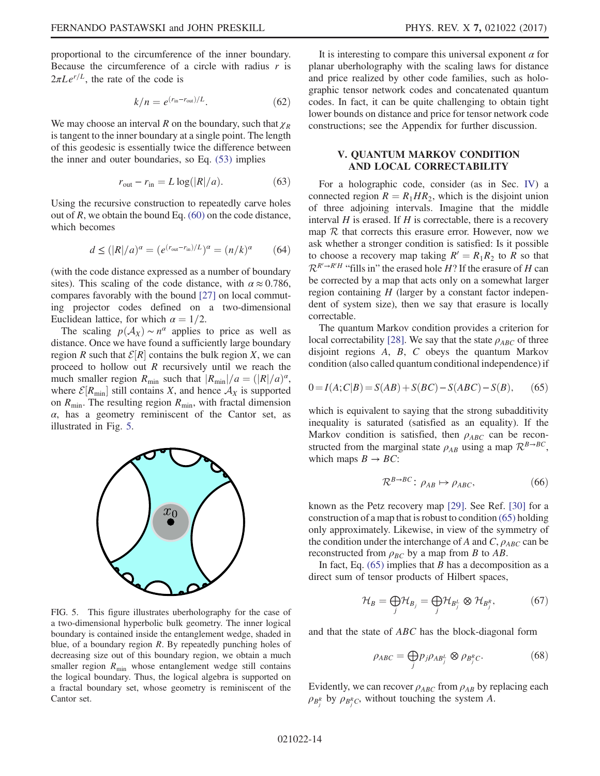proportional to the circumference of the inner boundary. Because the circumference of a circle with radius  $r$  is  $2\pi Le^{r/L}$ , the rate of the code is

$$
k/n = e^{(r_{\text{in}} - r_{\text{out}})/L}.
$$
 (62)

We may choose an interval R on the boundary, such that  $\chi_R$ is tangent to the inner boundary at a single point. The length of this geodesic is essentially twice the difference between the inner and outer boundaries, so Eq. [\(53\)](#page-12-2) implies

$$
r_{\text{out}} - r_{\text{in}} = L \log(|R|/a). \tag{63}
$$

Using the recursive construction to repeatedly carve holes out of  $R$ , we obtain the bound Eq. [\(60\)](#page-12-3) on the code distance, which becomes

$$
d \le (|R|/a)^{\alpha} = (e^{(r_{\text{out}} - r_{\text{in}})/L})^{\alpha} = (n/k)^{\alpha}
$$
 (64)

(with the code distance expressed as a number of boundary sites). This scaling of the code distance, with  $\alpha \approx 0.786$ , compares favorably with the bound [\[27\]](#page-19-9) on local commuting projector codes defined on a two-dimensional Euclidean lattice, for which  $\alpha = 1/2$ .

The scaling  $p(A_X) \sim n^{\alpha}$  applies to price as well as distance. Once we have found a sufficiently large boundary region R such that  $\mathcal{E}[R]$  contains the bulk region X, we can<br>proceed to hollow out R recursively until we reach the proceed to hollow out  $R$  recursively until we reach the much smaller region  $R_{\text{min}}$  such that  $|R_{\text{min}}|/a = (|R|/a)^{\alpha}$ , where  $\mathcal{E}[R_{\text{min}}]$  still contains X, and hence  $\mathcal{A}_X$  is supported<br>on  $R$  . The resulting region R with fractal dimension on  $R_{\text{min}}$ . The resulting region  $R_{\text{min}}$ , with fractal dimension  $\alpha$ , has a geometry reminiscent of the Cantor set, as illustrated in Fig. [5](#page-13-1).

<span id="page-13-1"></span>

FIG. 5. This figure illustrates uberholography for the case of a two-dimensional hyperbolic bulk geometry. The inner logical boundary is contained inside the entanglement wedge, shaded in blue, of a boundary region R. By repeatedly punching holes of decreasing size out of this boundary region, we obtain a much smaller region  $R_{\text{min}}$  whose entanglement wedge still contains the logical boundary. Thus, the logical algebra is supported on a fractal boundary set, whose geometry is reminiscent of the Cantor set.

It is interesting to compare this universal exponent  $\alpha$  for planar uberholography with the scaling laws for distance and price realized by other code families, such as holographic tensor network codes and concatenated quantum codes. In fact, it can be quite challenging to obtain tight lower bounds on distance and price for tensor network code constructions; see the Appendix for further discussion.

## <span id="page-13-0"></span>V. QUANTUM MARKOV CONDITION AND LOCAL CORRECTABILITY

For a holographic code, consider (as in Sec. [IV](#page-11-0)) a connected region  $R = R_1 H R_2$ , which is the disjoint union of three adjoining intervals. Imagine that the middle interval  $H$  is erased. If  $H$  is correctable, there is a recovery map  $R$  that corrects this erasure error. However, now we ask whether a stronger condition is satisfied: Is it possible to choose a recovery map taking  $R' = R_1R_2$  to R so that  $\mathcal{R}^{R\rightarrow R\prime H}$  "fills in" the erased hole H? If the erasure of H can be corrected by a map that acts only on a somewhat larger region containing  $H$  (larger by a constant factor independent of system size), then we say that erasure is locally correctable.

<span id="page-13-2"></span>The quantum Markov condition provides a criterion for local correctability [\[28\].](#page-19-10) We say that the state  $\rho_{ABC}$  of three disjoint regions A, B, C obeys the quantum Markov condition (also called quantum conditional independence) if

$$
0 = I(A; C|B) = S(AB) + S(BC) - S(ABC) - S(B),
$$
 (65)

which is equivalent to saying that the strong subadditivity inequality is saturated (satisfied as an equality). If the Markov condition is satisfied, then  $\rho_{ABC}$  can be reconstructed from the marginal state  $\rho_{AB}$  using a map  $\mathcal{R}^{B\rightarrow BC}$ , which maps  $B \to BC$ :

$$
\mathcal{R}^{B \to BC} \colon \rho_{AB} \mapsto \rho_{ABC},\tag{66}
$$

known as the Petz recovery map [\[29\]](#page-19-11). See Ref. [\[30\]](#page-19-12) for a construction of a map that is robust to condition [\(65\)](#page-13-2) holding only approximately. Likewise, in view of the symmetry of the condition under the interchange of A and C,  $\rho_{ABC}$  can be reconstructed from  $\rho_{BC}$  by a map from B to AB.

In fact, Eq.  $(65)$  implies that B has a decomposition as a direct sum of tensor products of Hilbert spaces,

$$
\mathcal{H}_B = \bigoplus_j \mathcal{H}_{B_j} = \bigoplus_j \mathcal{H}_{B_j^L} \otimes \mathcal{H}_{B_j^R},\tag{67}
$$

and that the state of ABC has the block-diagonal form

$$
\rho_{ABC} = \bigoplus_{j} p_{j} \rho_{AB_{j}^{L}} \otimes \rho_{B_{j}^{R}C}.
$$
 (68)

Evidently, we can recover  $\rho_{ABC}$  from  $\rho_{AB}$  by replacing each  $\rho_{B_i^R}$  by  $\rho_{B_i^R}$ , without touching the system A.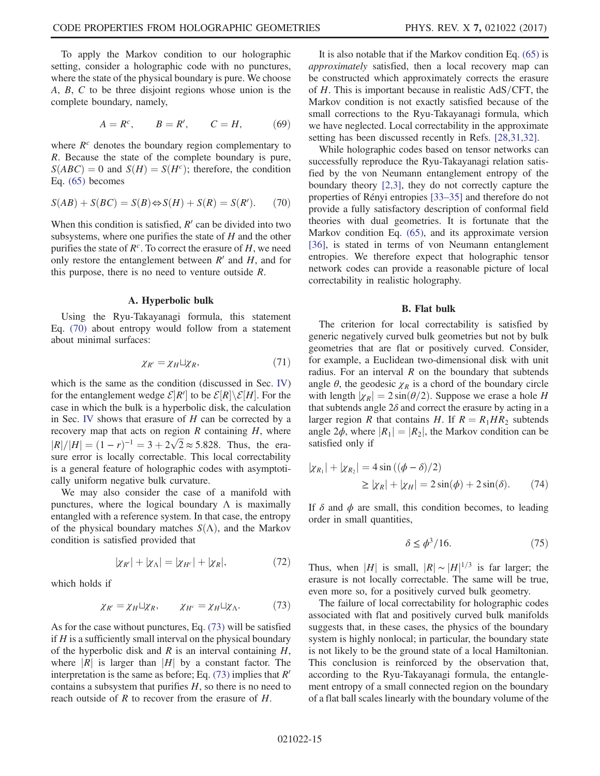To apply the Markov condition to our holographic setting, consider a holographic code with no punctures, where the state of the physical boundary is pure. We choose A, B, C to be three disjoint regions whose union is the complete boundary, namely,

$$
A = R^c, \qquad B = R', \qquad C = H, \tag{69}
$$

<span id="page-14-0"></span>where  $R<sup>c</sup>$  denotes the boundary region complementary to R. Because the state of the complete boundary is pure,  $S(ABC) = 0$  and  $S(H) = S(H<sup>c</sup>)$ ; therefore, the condition Eq. [\(65\)](#page-13-2) becomes

$$
S(AB) + S(BC) = S(B) \Leftrightarrow S(H) + S(R) = S(R').
$$
 (70)

When this condition is satisfied,  $R<sup>7</sup>$  can be divided into two subsystems, where one purifies the state of  $H$  and the other purifies the state of  $R^c$ . To correct the erasure of H, we need only restore the entanglement between  $R'$  and  $H$ , and for this purpose, there is no need to venture outside *.* 

### A. Hyperbolic bulk

Using the Ryu-Takayanagi formula, this statement Eq. [\(70\)](#page-14-0) about entropy would follow from a statement about minimal surfaces:

$$
\chi_{R'} = \chi_H \sqcup \chi_R, \tag{71}
$$

which is the same as the condition (discussed in Sec. [IV\)](#page-11-0) for the entanglement wedge  $\mathcal{E}[R']$  to be  $\mathcal{E}[R] \setminus \mathcal{E}[H]$ . For the case in which the bulk is a hyperholic disk, the calculation case in which the bulk is a hyperbolic disk, the calculation in Sec. [IV](#page-11-0) shows that erasure of  $H$  can be corrected by a recovery map that acts on region  $R$  containing  $H$ , where  $|R|/|H| = (1 - r)^{-1} = 3 + 2\sqrt{2} \approx 5.828$ . Thus, the era-<br>sure error is locally correctable. This local correctability sure error is locally correctable. This local correctability is a general feature of holographic codes with asymptotically uniform negative bulk curvature.

We may also consider the case of a manifold with punctures, where the logical boundary  $\Lambda$  is maximally entangled with a reference system. In that case, the entropy of the physical boundary matches  $S(\Lambda)$ , and the Markov condition is satisfied provided that

$$
|\chi_{R'}| + |\chi_{\Lambda}| = |\chi_{H^c}| + |\chi_R|,\tag{72}
$$

<span id="page-14-1"></span>which holds if

$$
\chi_{R'} = \chi_H \sqcup \chi_R, \qquad \chi_{H^c} = \chi_H \sqcup \chi_\Lambda. \tag{73}
$$

As for the case without punctures, Eq. [\(73\)](#page-14-1) will be satisfied if  $H$  is a sufficiently small interval on the physical boundary of the hyperbolic disk and  $R$  is an interval containing  $H$ , where  $|R|$  is larger than  $|H|$  by a constant factor. The interpretation is the same as before; Eq. [\(73\)](#page-14-1) implies that  $R<sup>′</sup>$ contains a subsystem that purifies  $H$ , so there is no need to reach outside of R to recover from the erasure of  $H$ .

It is also notable that if the Markov condition Eq. [\(65\)](#page-13-2) is approximately satisfied, then a local recovery map can be constructed which approximately corrects the erasure of  $H$ . This is important because in realistic AdS/CFT, the Markov condition is not exactly satisfied because of the small corrections to the Ryu-Takayanagi formula, which we have neglected. Local correctability in the approximate

setting has been discussed recently in Refs. [\[28,31,32\]](#page-19-10).

While holographic codes based on tensor networks can successfully reproduce the Ryu-Takayanagi relation satisfied by the von Neumann entanglement entropy of the boundary theory [\[2,3\],](#page-18-1) they do not correctly capture the properties of Rényi entropies [\[33](#page-19-13)–35] and therefore do not provide a fully satisfactory description of conformal field theories with dual geometries. It is fortunate that the Markov condition Eq. [\(65\)](#page-13-2), and its approximate version [\[36\]](#page-19-14), is stated in terms of von Neumann entanglement entropies. We therefore expect that holographic tensor network codes can provide a reasonable picture of local correctability in realistic holography.

#### B. Flat bulk

The criterion for local correctability is satisfied by generic negatively curved bulk geometries but not by bulk geometries that are flat or positively curved. Consider, for example, a Euclidean two-dimensional disk with unit radius. For an interval  $R$  on the boundary that subtends angle  $\theta$ , the geodesic  $\chi_R$  is a chord of the boundary circle with length  $|\chi_R| = 2 \sin(\theta/2)$ . Suppose we erase a hole H that subtends angle  $2\delta$  and correct the erasure by acting in a larger region R that contains H. If  $R = R_1HR_2$  subtends angle 2 $\phi$ , where  $|R_1|=|R_2|$ , the Markov condition can be satisfied only if

$$
|\chi_{R_1}| + |\chi_{R_2}| = 4 \sin \left( (\phi - \delta)/2 \right)
$$
  
\n
$$
\ge |\chi_R| + |\chi_H| = 2 \sin(\phi) + 2 \sin(\delta). \tag{74}
$$

If  $\delta$  and  $\phi$  are small, this condition becomes, to leading order in small quantities,

$$
\delta \le \phi^3/16. \tag{75}
$$

Thus, when |H| is small,  $|R| \sim |H|^{1/3}$  is far larger; the equal to the correctable. The same will be true erasure is not locally correctable. The same will be true, even more so, for a positively curved bulk geometry.

The failure of local correctability for holographic codes associated with flat and positively curved bulk manifolds suggests that, in these cases, the physics of the boundary system is highly nonlocal; in particular, the boundary state is not likely to be the ground state of a local Hamiltonian. This conclusion is reinforced by the observation that, according to the Ryu-Takayanagi formula, the entanglement entropy of a small connected region on the boundary of a flat ball scales linearly with the boundary volume of the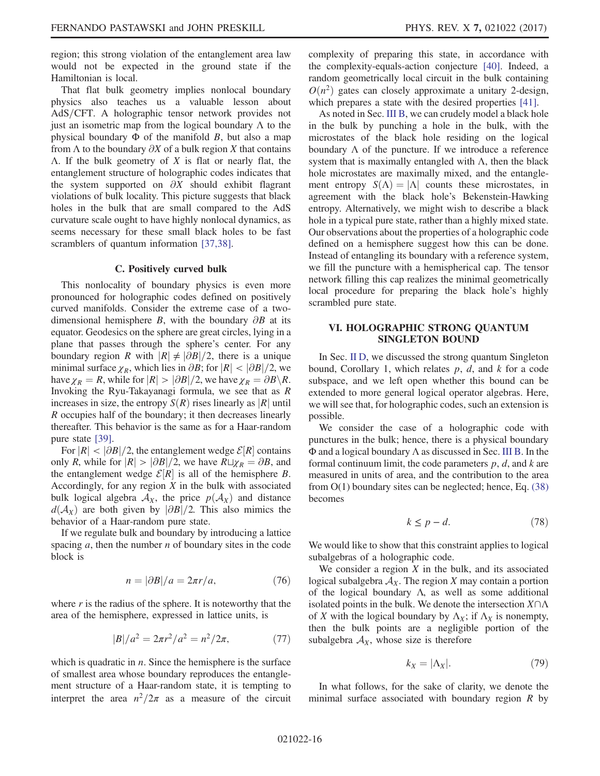region; this strong violation of the entanglement area law would not be expected in the ground state if the Hamiltonian is local.

That flat bulk geometry implies nonlocal boundary physics also teaches us a valuable lesson about AdS/CFT. A holographic tensor network provides not just an isometric map from the logical boundary Λ to the physical boundary  $\Phi$  of the manifold B, but also a map from  $\Lambda$  to the boundary  $\partial X$  of a bulk region X that contains Λ. If the bulk geometry of X is flat or nearly flat, the entanglement structure of holographic codes indicates that the system supported on  $\partial X$  should exhibit flagrant violations of bulk locality. This picture suggests that black holes in the bulk that are small compared to the AdS curvature scale ought to have highly nonlocal dynamics, as seems necessary for these small black holes to be fast scramblers of quantum information [\[37,38\].](#page-19-15)

## C. Positively curved bulk

This nonlocality of boundary physics is even more pronounced for holographic codes defined on positively curved manifolds. Consider the extreme case of a twodimensional hemisphere B, with the boundary  $\partial B$  at its equator. Geodesics on the sphere are great circles, lying in a plane that passes through the sphere's center. For any boundary region R with  $|R| \neq |\partial B|/2$ , there is a unique minimal surface  $\chi_R$ , which lies in  $\partial B$ ; for  $|R| < |\partial B|/2$ , we have  $\chi_R = R$ , while for  $|R| > |\partial B|/2$ , we have  $\chi_R = \partial B \backslash R$ . Invoking the Ryu-Takayanagi formula, we see that as R increases in size, the entropy  $S(R)$  rises linearly as |R| until R occupies half of the boundary; it then decreases linearly thereafter. This behavior is the same as for a Haar-random pure state [\[39\].](#page-19-16)

For  $|R| \le |\partial B|/2$ , the entanglement wedge  $\mathcal{E}[R]$  contains<br>by R while for  $|R| > |\partial B|/2$  we have  $R|\log \theta| \ge |\partial B|$  and only R, while for  $|R| > |\partial B|/2$ , we have  $R\Box \chi_R = \partial B$ , and the entanglement wedge  $\mathcal{E}[R]$  is all of the hemisphere *B*.<br>Accordingly for any region *X* in the bulk with associated Accordingly, for any region  $X$  in the bulk with associated bulk logical algebra  $A_X$ , the price  $p(A_X)$  and distance  $d(\mathcal{A}_X)$  are both given by  $|\partial B|/2$ . This also mimics the behavior of a Haar-random pure state.

If we regulate bulk and boundary by introducing a lattice spacing  $a$ , then the number  $n$  of boundary sites in the code block is

$$
n = |\partial B|/a = 2\pi r/a,
$$
 (76)

where  $r$  is the radius of the sphere. It is noteworthy that the area of the hemisphere, expressed in lattice units, is

$$
|B|/a^2 = 2\pi r^2/a^2 = n^2/2\pi,
$$
 (77)

which is quadratic in  $n$ . Since the hemisphere is the surface of smallest area whose boundary reproduces the entanglement structure of a Haar-random state, it is tempting to interpret the area  $n^2/2\pi$  as a measure of the circuit complexity of preparing this state, in accordance with the complexity-equals-action conjecture [\[40\]](#page-19-17). Indeed, a random geometrically local circuit in the bulk containing  $O(n^2)$  gates can closely approximate a unitary 2-design, which prepares a state with the desired properties [\[41\].](#page-19-18)

As noted in Sec. [III B,](#page-9-0) we can crudely model a black hole in the bulk by punching a hole in the bulk, with the microstates of the black hole residing on the logical boundary  $\Lambda$  of the puncture. If we introduce a reference system that is maximally entangled with  $\Lambda$ , then the black hole microstates are maximally mixed, and the entanglement entropy  $S(\Lambda) = |\Lambda|$  counts these microstates, in agreement with the black hole's Bekenstein-Hawking entropy. Alternatively, we might wish to describe a black hole in a typical pure state, rather than a highly mixed state. Our observations about the properties of a holographic code defined on a hemisphere suggest how this can be done. Instead of entangling its boundary with a reference system, we fill the puncture with a hemispherical cap. The tensor network filling this cap realizes the minimal geometrically local procedure for preparing the black hole's highly scrambled pure state.

## <span id="page-15-0"></span>VI. HOLOGRAPHIC STRONG QUANTUM SINGLETON BOUND

In Sec. [II D,](#page-4-2) we discussed the strong quantum Singleton bound, Corollary 1, which relates  $p$ ,  $d$ , and  $k$  for a code subspace, and we left open whether this bound can be extended to more general logical operator algebras. Here, we will see that, for holographic codes, such an extension is possible.

We consider the case of a holographic code with punctures in the bulk; hence, there is a physical boundary  $\Phi$  and a logical boundary  $\Lambda$  as discussed in Sec. [III B.](#page-9-0) In the formal continuum limit, the code parameters  $p$ ,  $d$ , and  $k$  are measured in units of area, and the contribution to the area from  $O(1)$  boundary sites can be neglected; hence, Eq.  $(38)$ becomes

$$
k \le p - d. \tag{78}
$$

We would like to show that this constraint applies to logical subalgebras of a holographic code.

We consider a region  $X$  in the bulk, and its associated logical subalgebra  $A_X$ . The region X may contain a portion of the logical boundary  $\Lambda$ , as well as some additional isolated points in the bulk. We denote the intersection  $X \cap \Lambda$ of X with the logical boundary by  $\Lambda_X$ ; if  $\Lambda_X$  is nonempty, then the bulk points are a negligible portion of the subalgebra  $A_X$ , whose size is therefore

$$
k_X = |\Lambda_X|.\t(79)
$$

In what follows, for the sake of clarity, we denote the minimal surface associated with boundary region  $R$  by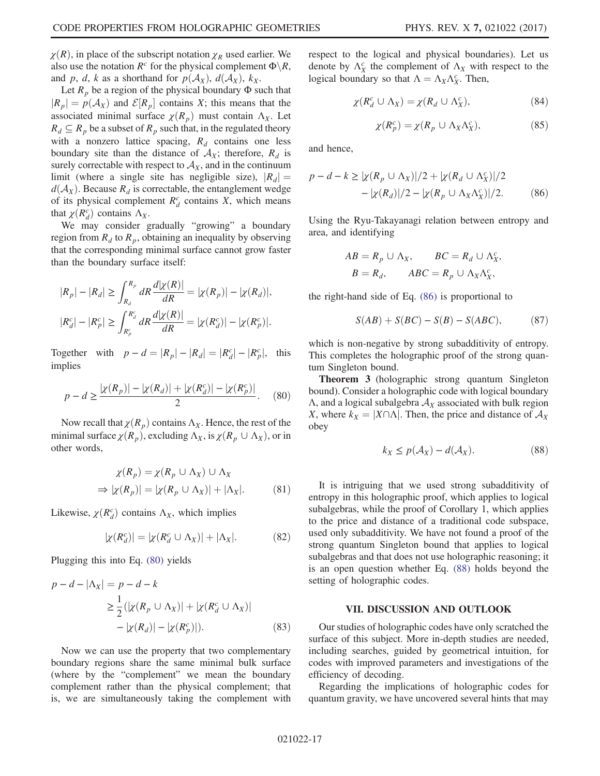$\chi(R)$ , in place of the subscript notation  $\chi_R$  used earlier. We also use the notation  $R^c$  for the physical complement  $\Phi \backslash R$ , and p, d, k as a shorthand for  $p(\mathcal{A}_X)$ ,  $d(\mathcal{A}_X)$ ,  $k_X$ .

Let  $R_p$  be a region of the physical boundary  $\Phi$  such that  $|R_p| = p(A_X)$  and  $\mathcal{E}[R_p]$  contains X; this means that the associated minimal surface  $\chi(R_p)$  must contain  $\Lambda_X$ . Let  $R_d \subseteq R_p$  be a subset of  $R_p$  such that, in the regulated theory with a nonzero lattice spacing,  $R_d$  contains one less boundary site than the distance of  $A_X$ ; therefore,  $R_d$  is surely correctable with respect to  $A_X$ , and in the continuum limit (where a single site has negligible size),  $|R_d|$  =  $d(\mathcal{A}_X)$ . Because  $R_d$  is correctable, the entanglement wedge of its physical complement  $R_d^c$  contains X, which means that  $\chi(R_d^c)$  contains  $\Lambda_X$ .<br>We may consider a

We may consider gradually "growing" a boundary region from  $R_d$  to  $R_p$ , obtaining an inequality by observing that the corresponding minimal surface cannot grow faster than the boundary surface itself:

$$
|R_p| - |R_d| \ge \int_{R_d}^{R_p} dR \frac{d|\chi(R)|}{dR} = |\chi(R_p)| - |\chi(R_d)|,
$$
  

$$
|R_d^c| - |R_p^c| \ge \int_{R_p^c}^{R_d^c} dR \frac{d|\chi(R)|}{dR} = |\chi(R_d^c)| - |\chi(R_p^c)|.
$$

<span id="page-16-1"></span>Together with  $p - d = |R_p| - |R_d| = |R_d^c| - |R_p^c|$ , this implies

$$
p - d \ge \frac{|\chi(R_p)| - |\chi(R_d)| + |\chi(R_d^c)| - |\chi(R_p^c)|}{2}.
$$
 (80)

Now recall that  $\chi(R_p)$  contains  $\Lambda_X$ . Hence, the rest of the minimal surface  $\chi(R_p)$ , excluding  $\Lambda_X$ , is  $\chi(R_p \cup \Lambda_X)$ , or in other words,

$$
\chi(R_p) = \chi(R_p \cup \Lambda_X) \cup \Lambda_X
$$
  
\n
$$
\Rightarrow |\chi(R_p)| = |\chi(R_p \cup \Lambda_X)| + |\Lambda_X|.
$$
 (81)

Likewise,  $\chi(R_d^c)$  contains  $\Lambda_X$ , which implies

$$
|\chi(R_d^c)| = |\chi(R_d^c \cup \Lambda_X)| + |\Lambda_X|. \tag{82}
$$

Plugging this into Eq. [\(80\)](#page-16-1) yields

$$
p - d - |\Lambda_X| = p - d - k
$$
  
\n
$$
\geq \frac{1}{2} (|\chi(R_p \cup \Lambda_X)| + |\chi(R_d^c \cup \Lambda_X)| - |\chi(R_d)|) - |\chi(R_p^c)|).
$$
 (83)

Now we can use the property that two complementary boundary regions share the same minimal bulk surface (where by the "complement" we mean the boundary complement rather than the physical complement; that is, we are simultaneously taking the complement with respect to the logical and physical boundaries). Let us denote by  $\Lambda_X^c$  the complement of  $\Lambda_X$  with respect to the logical boundary so that  $\Lambda = \Lambda_X \Lambda_X^c$ . Then,

$$
\chi(R_d^c \cup \Lambda_X) = \chi(R_d \cup \Lambda_X^c),\tag{84}
$$

$$
\chi(R_p^c) = \chi(R_p \cup \Lambda_X \Lambda_X^c),\tag{85}
$$

<span id="page-16-2"></span>and hence,

$$
p - d - k \ge |\chi(R_p \cup \Lambda_X)|/2 + |\chi(R_d \cup \Lambda_X^c)|/2
$$
  
- |\chi(R\_d)|/2 - |\chi(R\_p \cup \Lambda\_X \Lambda\_X^c)|/2. (86)

Using the Ryu-Takayanagi relation between entropy and area, and identifying

$$
AB = R_p \cup \Lambda_X, \qquad BC = R_d \cup \Lambda_X^c,
$$
  

$$
B = R_d, \qquad ABC = R_p \cup \Lambda_X \Lambda_X^c,
$$

the right-hand side of Eq. [\(86\)](#page-16-2) is proportional to

 $S(AB) + S(BC) - S(B) - S(ABC)$ , (87)

which is non-negative by strong subadditivity of entropy. This completes the holographic proof of the strong quantum Singleton bound.

<span id="page-16-3"></span>Theorem 3 (holographic strong quantum Singleton bound). Consider a holographic code with logical boundary  $\Lambda$ , and a logical subalgebra  $A_X$  associated with bulk region X, where  $k_X = |X \cap \Lambda|$ . Then, the price and distance of  $\mathcal{A}_X$ obey

$$
k_X \le p(\mathcal{A}_X) - d(\mathcal{A}_X). \tag{88}
$$

It is intriguing that we used strong subadditivity of entropy in this holographic proof, which applies to logical subalgebras, while the proof of Corollary 1, which applies to the price and distance of a traditional code subspace, used only subadditivity. We have not found a proof of the strong quantum Singleton bound that applies to logical subalgebras and that does not use holographic reasoning; it is an open question whether Eq. [\(88\)](#page-16-3) holds beyond the setting of holographic codes.

## VII. DISCUSSION AND OUTLOOK

<span id="page-16-0"></span>Our studies of holographic codes have only scratched the surface of this subject. More in-depth studies are needed, including searches, guided by geometrical intuition, for codes with improved parameters and investigations of the efficiency of decoding.

Regarding the implications of holographic codes for quantum gravity, we have uncovered several hints that may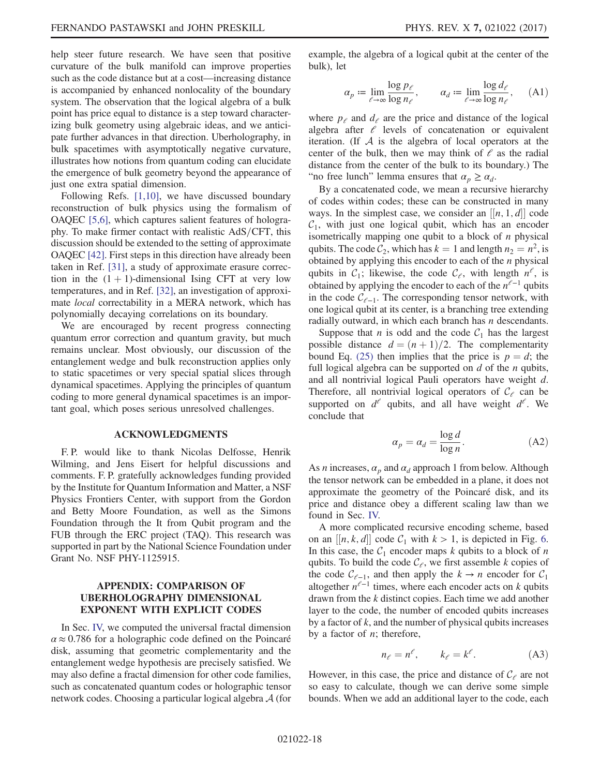help steer future research. We have seen that positive curvature of the bulk manifold can improve properties such as the code distance but at a cost—increasing distance is accompanied by enhanced nonlocality of the boundary system. The observation that the logical algebra of a bulk point has price equal to distance is a step toward characterizing bulk geometry using algebraic ideas, and we anticipate further advances in that direction. Uberholography, in bulk spacetimes with asymptotically negative curvature, illustrates how notions from quantum coding can elucidate the emergence of bulk geometry beyond the appearance of just one extra spatial dimension.

Following Refs. [\[1,10\]](#page-18-0), we have discussed boundary reconstruction of bulk physics using the formalism of OAQEC [\[5,6\]](#page-18-7), which captures salient features of holography. To make firmer contact with realistic  $AdS/CFT$ , this discussion should be extended to the setting of approximate OAQEC [\[42\].](#page-19-19) First steps in this direction have already been taken in Ref. [\[31\],](#page-19-20) a study of approximate erasure correction in the  $(1 + 1)$ -dimensional Ising CFT at very low temperatures, and in Ref. [\[32\],](#page-19-21) an investigation of approximate local correctability in a MERA network, which has polynomially decaying correlations on its boundary.

We are encouraged by recent progress connecting quantum error correction and quantum gravity, but much remains unclear. Most obviously, our discussion of the entanglement wedge and bulk reconstruction applies only to static spacetimes or very special spatial slices through dynamical spacetimes. Applying the principles of quantum coding to more general dynamical spacetimes is an important goal, which poses serious unresolved challenges.

#### ACKNOWLEDGMENTS

F. P. would like to thank Nicolas Delfosse, Henrik Wilming, and Jens Eisert for helpful discussions and comments. F. P. gratefully acknowledges funding provided by the Institute for Quantum Information and Matter, a NSF Physics Frontiers Center, with support from the Gordon and Betty Moore Foundation, as well as the Simons Foundation through the It from Qubit program and the FUB through the ERC project (TAQ). This research was supported in part by the National Science Foundation under Grant No. NSF PHY-1125915.

## APPENDIX: COMPARISON OF UBERHOLOGRAPHY DIMENSIONAL EXPONENT WITH EXPLICIT CODES

In Sec. [IV,](#page-11-0) we computed the universal fractal dimension  $\alpha \approx 0.786$  for a holographic code defined on the Poincaré disk, assuming that geometric complementarity and the entanglement wedge hypothesis are precisely satisfied. We may also define a fractal dimension for other code families, such as concatenated quantum codes or holographic tensor network codes. Choosing a particular logical algebra A (for example, the algebra of a logical qubit at the center of the bulk), let

$$
\alpha_p := \lim_{\ell \to \infty} \frac{\log p_\ell}{\log n_\ell}, \qquad \alpha_d := \lim_{\ell \to \infty} \frac{\log d_\ell}{\log n_\ell}, \quad \text{(A1)}
$$

where  $p_{\ell}$  and  $d_{\ell}$  are the price and distance of the logical algebra after  $\ell$  levels of concatenation or equivalent iteration. (If  $A$  is the algebra of local operators at the center of the bulk, then we may think of  $\ell$  as the radial distance from the center of the bulk to its boundary.) The "no free lunch" lemma ensures that  $\alpha_p \ge \alpha_d$ .

By a concatenated code, we mean a recursive hierarchy of codes within codes; these can be constructed in many ways. In the simplest case, we consider an  $[[n, 1, d]]$  code  $C<sub>i</sub>$ , with just one logical qubit, which has an encoder  $\mathcal{C}_1$ , with just one logical qubit, which has an encoder isometrically mapping one qubit to a block of  $n$  physical qubits. The code  $C_2$ , which has  $k = 1$  and length  $n_2 = n^2$ , is obtained by applying this encoder to each of the  $n$  physical qubits in  $C_1$ ; likewise, the code  $C_e$ , with length  $n^e$ , is obtained by applying the encoder to each of the  $n^{e-1}$  qubits in the code  $\mathcal{C}_{\ell-1}$ . The corresponding tensor network, with one logical qubit at its center, is a branching tree extending radially outward, in which each branch has  $n$  descendants.

Suppose that *n* is odd and the code  $C_1$  has the largest possible distance  $d = (n + 1)/2$ . The complementarity bound Eq. [\(25\)](#page-5-0) then implies that the price is  $p = d$ ; the full logical algebra can be supported on  $d$  of the  $n$  qubits, and all nontrivial logical Pauli operators have weight d. Therefore, all nontrivial logical operators of  $\mathcal{C}_{e}$  can be supported on  $d^e$  qubits, and all have weight  $d^e$ . We conclude that

$$
\alpha_p = \alpha_d = \frac{\log d}{\log n}.\tag{A2}
$$

As *n* increases,  $\alpha_p$  and  $\alpha_d$  approach 1 from below. Although the tensor network can be embedded in a plane, it does not approximate the geometry of the Poincaré disk, and its price and distance obey a different scaling law than we found in Sec. [IV.](#page-11-0)

A more complicated recursive encoding scheme, based on an  $[[n, k, d]]$  code  $C_1$  with  $k > 1$ , is depicted in Fig. [6](#page-18-8).<br>In this case, the  $C_k$  encoder mans k qubits to a block of n In this case, the  $C_1$  encoder maps k qubits to a block of n qubits. To build the code  $\mathcal{C}_{e}$ , we first assemble k copies of the code  $C_{\ell-1}$ , and then apply the  $k \to n$  encoder for  $C_1$ altogether  $n^{e-1}$  times, where each encoder acts on k qubits drawn from the  $k$  distinct copies. Each time we add another layer to the code, the number of encoded qubits increases by a factor of  $k$ , and the number of physical qubits increases by a factor of  $n$ ; therefore,

$$
n_{\ell} = n^{\ell}, \qquad k_{\ell} = k^{\ell}. \tag{A3}
$$

<span id="page-17-0"></span>However, in this case, the price and distance of  $\mathcal{C}_{e}$  are not so easy to calculate, though we can derive some simple bounds. When we add an additional layer to the code, each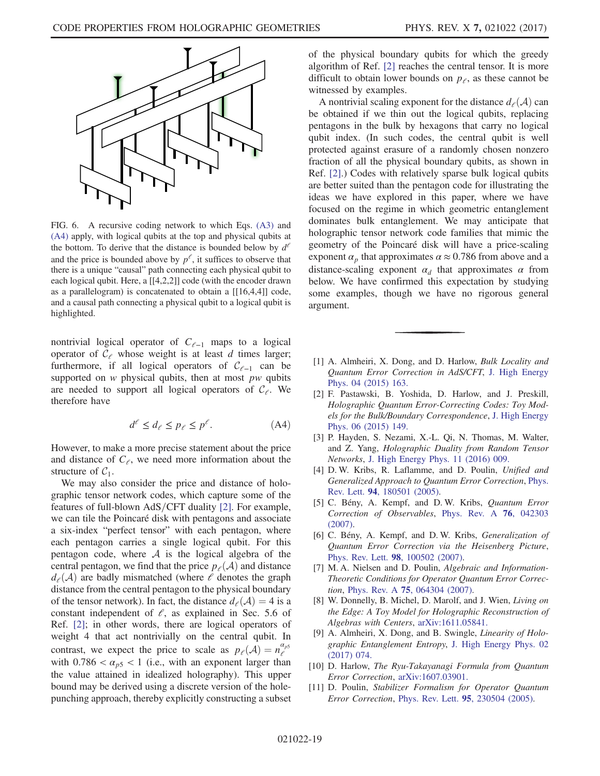<span id="page-18-8"></span>

FIG. 6. A recursive coding network to which Eqs. [\(A3\)](#page-17-0) and [\(A4\)](#page-18-9) apply, with logical qubits at the top and physical qubits at the bottom. To derive that the distance is bounded below by  $d^{\ell}$ and the price is bounded above by  $p^{\ell}$ , it suffices to observe that there is a unique "causal" path connecting each physical qubit to each logical qubit. Here, a [[4,2,2]] code (with the encoder drawn as a parallelogram) is concatenated to obtain a [[16,4,4]] code, and a causal path connecting a physical qubit to a logical qubit is highlighted.

nontrivial logical operator of  $C_{\ell-1}$  maps to a logical operator of  $C_e$  whose weight is at least d times larger; furthermore, if all logical operators of  $\mathcal{C}_{\ell-1}$  can be supported on  $w$  physical qubits, then at most  $pw$  qubits are needed to support all logical operators of  $C_{\ell}$ . We therefore have

$$
d^{\ell} \le d_{\ell} \le p_{\ell} \le p^{\ell}.\tag{A4}
$$

<span id="page-18-9"></span>However, to make a more precise statement about the price and distance of  $C_{\ell}$ , we need more information about the structure of  $C_1$ .

We may also consider the price and distance of holographic tensor network codes, which capture some of the features of full-blown  $AdS/CFT$  duality [\[2\]](#page-18-1). For example, we can tile the Poincaré disk with pentagons and associate a six-index "perfect tensor" with each pentagon, where each pentagon carries a single logical qubit. For this pentagon code, where  $A$  is the logical algebra of the central pentagon, we find that the price  $p_{\ell}(\mathcal{A})$  and distance  $d_{\ell}(\mathcal{A})$  are badly mismatched (where  $\ell$  denotes the graph distance from the central pentagon to the physical boundary of the tensor network). In fact, the distance  $d_{\ell}(\mathcal{A}) = 4$  is a constant independent of  $\ell$ , as explained in Sec. 5.6 of Ref. [\[2\];](#page-18-1) in other words, there are logical operators of weight 4 that act nontrivially on the central qubit. In contrast, we expect the price to scale as  $p_{\ell}(\mathcal{A}) = n_{\ell}^{\alpha_{p5}}$ <br>with 0.786 <  $\alpha_{\ell}$  < 1 (i.e., with an exponent larger than with  $0.786 < \alpha_{p5} < 1$  (i.e., with an exponent larger than the value attained in idealized holography). This upper bound may be derived using a discrete version of the holepunching approach, thereby explicitly constructing a subset of the physical boundary qubits for which the greedy algorithm of Ref. [\[2\]](#page-18-1) reaches the central tensor. It is more difficult to obtain lower bounds on  $p_e$ , as these cannot be witnessed by examples.

A nontrivial scaling exponent for the distance  $d_{\ell}(\mathcal{A})$  can be obtained if we thin out the logical qubits, replacing pentagons in the bulk by hexagons that carry no logical qubit index. (In such codes, the central qubit is well protected against erasure of a randomly chosen nonzero fraction of all the physical boundary qubits, as shown in Ref. [\[2\]](#page-18-1).) Codes with relatively sparse bulk logical qubits are better suited than the pentagon code for illustrating the ideas we have explored in this paper, where we have focused on the regime in which geometric entanglement dominates bulk entanglement. We may anticipate that holographic tensor network code families that mimic the geometry of the Poincaré disk will have a price-scaling exponent  $\alpha_p$  that approximates  $\alpha \approx 0.786$  from above and a distance-scaling exponent  $\alpha_d$  that approximates  $\alpha$  from below. We have confirmed this expectation by studying some examples, though we have no rigorous general argument.

- <span id="page-18-1"></span><span id="page-18-0"></span>[1] A. Almheiri, X. Dong, and D. Harlow, *Bulk Locality and* Quantum Error Correction in AdS/CFT, [J. High Energy](https://doi.org/10.1007/JHEP04(2015)163) [Phys. 04 \(2015\) 163.](https://doi.org/10.1007/JHEP04(2015)163)
- [2] F. Pastawski, B. Yoshida, D. Harlow, and J. Preskill, Holographic Quantum Error-Correcting Codes: Toy Models for the Bulk/Boundary Correspondence, [J. High Energy](https://doi.org/10.1007/JHEP06(2015)149) [Phys. 06 \(2015\) 149.](https://doi.org/10.1007/JHEP06(2015)149)
- <span id="page-18-3"></span><span id="page-18-2"></span>[3] P. Hayden, S. Nezami, X.-L. Qi, N. Thomas, M. Walter, and Z. Yang, Holographic Duality from Random Tensor Networks, [J. High Energy Phys. 11 \(2016\) 009.](https://doi.org/10.1007/JHEP11(2016)009)
- <span id="page-18-7"></span>[4] D. W. Kribs, R. Laflamme, and D. Poulin, Unified and Generalized Approach to Quantum Error Correction, [Phys.](https://doi.org/10.1103/PhysRevLett.94.180501) Rev. Lett. 94[, 180501 \(2005\).](https://doi.org/10.1103/PhysRevLett.94.180501)
- [5] C. Bény, A. Kempf, and D. W. Kribs, Quantum Error Correction of Observables, [Phys. Rev. A](https://doi.org/10.1103/PhysRevA.76.042303) 76, 042303 [\(2007\).](https://doi.org/10.1103/PhysRevA.76.042303)
- [6] C. Bény, A. Kempf, and D. W. Kribs, Generalization of Quantum Error Correction via the Heisenberg Picture, Phys. Rev. Lett. 98[, 100502 \(2007\)](https://doi.org/10.1103/PhysRevLett.98.100502).
- <span id="page-18-4"></span>[7] M. A. Nielsen and D. Poulin, Algebraic and Information-Theoretic Conditions for Operator Quantum Error Correction, Phys. Rev. A 75[, 064304 \(2007\).](https://doi.org/10.1103/PhysRevA.75.064304)
- <span id="page-18-5"></span>[8] W. Donnelly, B. Michel, D. Marolf, and J. Wien, Living on the Edge: A Toy Model for Holographic Reconstruction of Algebras with Centers, [arXiv:1611.05841.](http://arXiv.org/abs/1611.05841)
- <span id="page-18-6"></span>[9] A. Almheiri, X. Dong, and B. Swingle, *Linearity of Holo*graphic Entanglement Entropy, [J. High Energy Phys. 02](https://doi.org/10.1007/JHEP02(2017)074) [\(2017\) 074.](https://doi.org/10.1007/JHEP02(2017)074)
- [10] D. Harlow, The Ryu-Takayanagi Formula from Quantum Error Correction, [arXiv:1607.03901.](http://arXiv.org/abs/1607.03901)
- [11] D. Poulin, Stabilizer Formalism for Operator Quantum Error Correction, Phys. Rev. Lett. 95[, 230504 \(2005\).](https://doi.org/10.1103/PhysRevLett.95.230504)